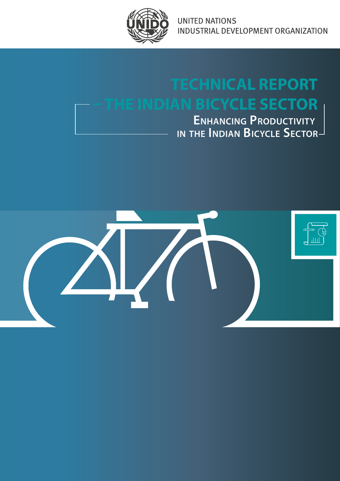

**UNITED NATIONS** INDUSTRIAL DEVELOPMENT ORGANIZATION

# **TECHNICAL REPORT E INDIAN BICYCLE SECTOR**

**ENHANCING PRODUCTIVITY IN THE INDIAN BICYCLE SECTOR**

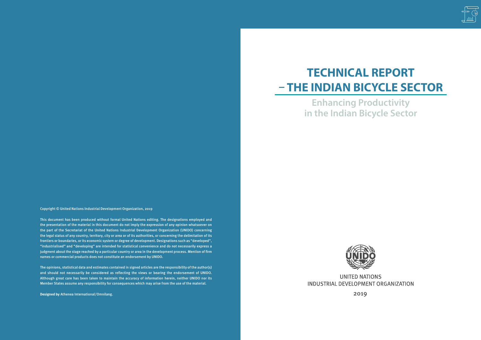Copyright © United Nations Industrial Development Organization, 2019

This document has been produced without formal United Nations editing. The designations employed and the presentation of the material in this document do not imply the expression of any opinion whatsoever on the part of the Secretariat of the United Nations Industrial Development Organization (UNIDO) concerning the legal status of any country, territory, city or area or of its authorities, or concerning the delimitation of its frontiers or boundaries, or its economic system or degree of development. Designations such as "developed", "industrialised" and "developing" are intended for statistical convenience and do not necessarily express a judgment about the stage reached by a particular country or area in the development process. Mention of firm names or commercial products does not constitute an endorsement by UNIDO.

The opinions, statistical data and estimates contained in signed articles are the responsibility of the author(s) and should not necessarily be considered as reflecting the views or bearing the endorsement of UNIDO. Although great care has been taken to maintain the accuracy of information herein, neither UNIDO nor its Member States assume any responsibility for consequences which may arise from the use of the material.

**Designed by** Athenea International/Omnilang.



**UNITED NATIONS** INDUSTRIAL DEVELOPMENT ORGANIZATION

**Enhancing Productivity in the Indian Bicycle Sector**

2019



# **TECHNICAL REPORT – THE INDIAN BICYCLE SECTOR**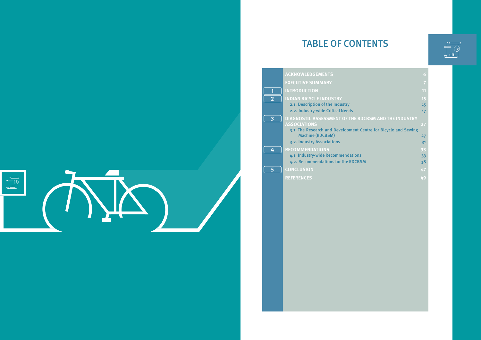# TABLE OF CONTENTS







|                              | ĭ                 |
|------------------------------|-------------------|
|                              |                   |
|                              | 11                |
|                              | 15                |
|                              | 1 <sup>1</sup>    |
|                              | $\mathbf{1}$      |
| <b>CBSM AND THE INDUSTRY</b> |                   |
|                              | 27                |
| entre for Bicycle and Sewing |                   |
|                              | $2^{\frac{1}{2}}$ |
|                              | 3 <sup>°</sup>    |
|                              | 33                |
|                              | 3 <sup>5</sup>    |
|                              | $3\xi$            |
|                              |                   |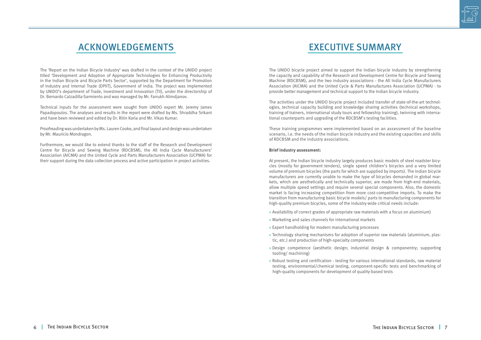# EXECUTIVE SUMMARY

The UNIDO bicycle project aimed to support the Indian bicycle industry by strengthening the capacity and capability of the Research and Development Centre for Bicycle and Sewing Machine (RDCBSM), and the two industry associations - the All India Cycle Manufacturers Association (AICMA) and the United Cycle & Parts Manufactures Association (UCPMA) - to provide better management and technical support to the Indian bicycle industry.

The activities under the UNIDO bicycle project included transfer of state-of-the-art technologies, technical capacity building and knowledge sharing activities (technical workshops, training of trainers, international study tours and fellowship training), twinning with international counterparts and upgrading of the RDCBSM's testing facilities.

These training programmes were implemented based on an assessment of the baseline scenario, i.e. the needs of the Indian bicycle industry and the existing capacities and skills of RDCBSM and the industry associations.

#### **Brief industry assessment:**

At present, the Indian bicycle industry largely produces basic models of steel roadster bicycles (mostly for government tenders), single speed children's bicycles and a very limited volume of premium bicycles (the parts for which are supplied by imports). The Indian bicycle manufacturers are currently unable to make the type of bicycles demanded in global markets, which are aesthetically and technically superior, are made from high-end materials, allow multiple speed settings and require several special components. Also, the domestic market is facing increasing competition from more cost-competitive imports. To make the transition from manufacturing basic bicycle models/ parts to manufacturing components for high-quality premium bicycles, some of the industry-wide critical needs include:

- » Availability of correct grades of appropriate raw materials with a focus on aluminium)
- » Marketing and sales channels for international markets
- » Expert handholding for modern manufacturing processes
- » Technology sharing mechanisms for adoption of superior raw materials (aluminium, plastic, etc.) and production of high-specialty components
- » Design competence (aesthetic design; industrial design & componentry; supporting tooling/ machining)
- » Robust testing and certification testing for various international standards, raw material testing, environmental/chemical testing, component-specific tests and benchmarking of high-quality components for development of quality-based tests



# ACKNOWLEDGEMENTS

<span id="page-3-0"></span>The 'Report on the Indian Bicycle Industry' was drafted in the context of the UNIDO project titled 'Development and Adoption of Appropriate Technologies for Enhancing Productivity in the Indian Bicycle and Bicycle Parts Sector', supported by the Department for Promotion of Industry and Internal Trade (DPIIT), Government of India. The project was implemented by UNIDO's department of Trade, Investment and Innovation (TII), under the directorship of Dr. Bernardo Calzadilla-Sarmiento and was managed by Mr. Farrukh Alimdjanov.

Technical inputs for the assessment were sought from UNIDO expert Mr. Jeremy James Papadopoulos. The analyses and results in the report were drafted by Ms. Shraddha Srikant and have been reviewed and edited by Dr. Ritin Koria and Mr. Vikas Kumar.

Proofreading was undertaken by Ms. Lauren Cooke, and final layout and design was undertaken by Mr. Mauricio Mondragon.

Furthermore, we would like to extend thanks to the staff of the Research and Development Centre for Bicycle and Sewing Machine (RDCBSM), the All India Cycle Manufacturers' Association (AICMA) and the United Cycle and Parts Manufacturers Association (UCPMA) for their support during the data collection process and active participation in project activities.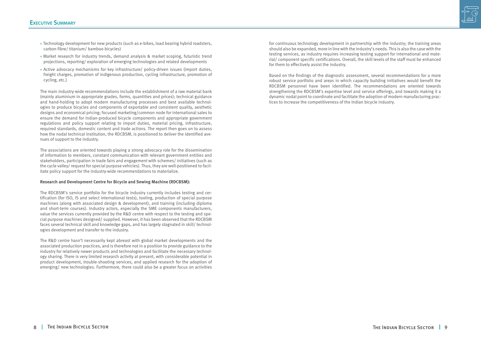for continuous technology development in partnership with the industry; the training areas should also be expanded, more in line with the industry's needs. This is also the case with the testing services, as industry requires increasing testing support for international and material/ component specific certifications. Overall, the skill levels of the staff must be enhanced for them to effectively assist the industry.

Based on the findings of the diagnostic assessment, several recommendations for a more robust service portfolio and areas in which capacity building initiatives would benefit the RDCBSM personnel have been identified. The recommendations are oriented towards strengthening the RDCBSM's expertise level and service offerings, and towards making it a dynamic nodal point to coordinate and facilitate the adoption of modern manufacturing practices to increase the competitiveness of the Indian bicycle industry.



- » Technology development for new products (such as e-bikes, load bearing hybrid roadsters, carbon fibre/ titanium/ bamboo bicycles)
- » Market research for industry trends, demand analysis & market scoping, futuristic trend projections, reporting/ exploration of emerging technologies and related developments
- » Active advocacy mechanisms for key infrastructure/ policy-driven issues (import duties, freight charges, promotion of indigenous production, cycling infrastructure, promotion of cycling, etc.)

The main industry-wide recommendations include the establishment of a raw material bank (mainly aluminium in appropriate grades, forms, quantities and prices); technical guidance and hand-holding to adopt modern manufacturing processes and best available technologies to produce bicycles and components of exportable and consistent quality, aesthetic designs and economical pricing; focused marketing/common node for international sales to ensure the demand for Indian-produced bicycle components and appropriate government regulations and policy support relating to import duties, material pricing, infrastructure, required standards, domestic content and trade actions. The report then goes on to assess how the nodal technical institution, the RDCBSM, is positioned to deliver the identified avenues of support to the industry.

The associations are oriented towards playing a strong advocacy role for the dissemination of information to members, constant communication with relevant government entities and stakeholders, participation in trade fairs and engagement with schemes/ initiatives (such as the cycle valley/ request for special purpose vehicles). Thus, they are well-positioned to facilitate policy support for the industry-wide recommendations to materialize.

#### **Research and Development Centre for Bicycle and Sewing Machine (RDCBSM):**

The RDCBSM's service portfolio for the bicycle industry currently includes testing and certification (for ISO, IS and select international tests), tooling, production of special purpose machines (along with associated design & development), and training (including diploma and short-term courses). Industry actors, especially the SME components manufacturers, value the services currently provided by the R&D centre with respect to the testing and special purpose machines designed/ supplied. However, it has been observed that the RDCBSM faces several technical skill and knowledge gaps, and has largely stagnated in skill/ technologies development and transfer to the industry.

The R&D centre hasn't necessarily kept abreast with global market developments and the associated production practices, and is therefore not in a position to provide guidance to the industry for relatively newer products and technologies and facilitate the necessary technology sharing. There is very limited research activity at present, with considerable potential in product development, trouble-shooting services, and applied research for the adoption of emerging/ new technologies. Furthermore, there could also be a greater focus on activities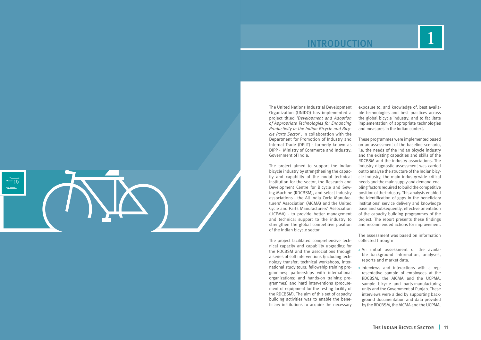# **INTRODUCTION**

<span id="page-5-0"></span>

The United Nations Industrial Development Organization (UNIDO) has implemented a project titled '*Development and Adoption of Appropriate Technologies for Enhancing Productivity in the Indian Bicycle and Bicycle Parts Sector*', in collaboration with the Department for Promotion of Industry and Internal Trade (DPIIT) - formerly known as DIPP - Ministry of Commerce and Industry, Government of India.

The project aimed to support the Indian bicycle industry by strengthening the capacity and capability of the nodal technical institution for the sector, the Research and Development Centre for Bicycle and Sewing Machine (RDCBSM), and select industry associations - the All India Cycle Manufacturers' Association (AICMA) and the United Cycle and Parts Manufacturers' Association (UCPMA) - to provide better management and technical support to the industry to strengthen the global competitive position of the Indian bicycle sector.

The project facilitated comprehensive technical capacity and capability upgrading for the RDCBSM and the associations through a series of soft interventions (including technology transfer; technical workshops, international study tours; fellowship training programmes; partnerships with international organizations; and hands-on training programmes) and hard interventions (procurement of equipment for the testing facility of the RDCBSM). The aim of this set of capacity building activities was to enable the beneficiary institutions to acquire the necessary

exposure to, and knowledge of, best available technologies and best practices across the global bicycle industry, and to facilitate implementation of appropriate technologies and measures in the Indian context.

These programmes were implemented based on an assessment of the baseline scenario, i.e. the needs of the Indian bicycle industry and the existing capacities and skills of the RDCBSM and the industry associations. The industry diagnostic assessment was carried out to analyse the structure of the Indian bicycle industry, the main industry-wide critical needs and the main supply and demand-enabling factors required to build the competitive position of the industry. This analysis enabled the identification of gaps in the beneficiary institutions' service delivery and knowledge base and subsequently, effective orientation of the capacity building programmes of the project. The report presents these findings and recommended actions for improvement.

The assessment was based on information collected through:

» An initial assessment of the available background information, analyses, reports and market data.

» Interviews and interactions with a representative sample of employees at the RDCBSM, the AICMA and the UCPMA, sample bicycle and parts-manufacturing units and the Government of Punjab. These interviews were aided by supporting background documentation and data provided by the RDCBSM, the AICMA and the UCPMA.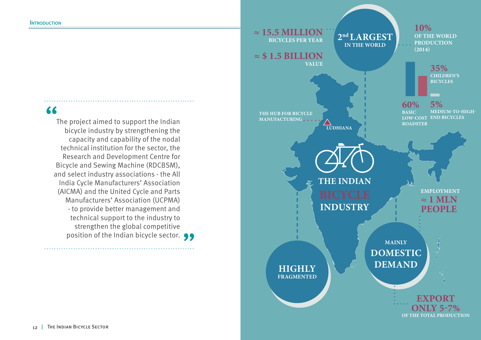The project aimed to support the Indian bicycle industry by strengthening the capacity and capability of the nodal technical institution for the sector, the Research and Development Centre for Bicycle and Sewing Machine (RDCBSM), and select industry associations - the All India Cycle Manufacturers' Association (AICMA) and the United Cycle and Parts Manufacturers' Association (UCPMA) - to provide better management and technical support to the industry to strengthen the global competitive strengthen the global competitive<br>position of the Indian bicycle sector.  $2<sup>nd</sup> LARGEST$ **IN THE WORLD**

**MANUFACTURING LUDHIANA THE INDIAN**  $\sum_{i=1}^{n} \sum_{j=1}^{n}$ 

# "

**INDUSTRY**

**10% OF THE WORLD PRODUCTION (2014)**

> **EMPLOYMENT ≈ 1 MLN PEOPLE**

> > **Controller Report**

**EXPORT ONLY 5-7% OF THE TOTAL PRODUCTION**

**60%**

**BASIC LOW-COST END BICYCLES ROADSTER**



**5% MEDIUM-TO-HIGH-**

# **MAINLY DOMESTIC DEMAND**

**≈ 15.5 MILLION** 

**BICYCLES PER YEAR**

**≈ \$ 1.5 BILLION** 

**VALUE**

**THE HUB FOR BICYCLE** 

**HIGHLY FRAGMENTED**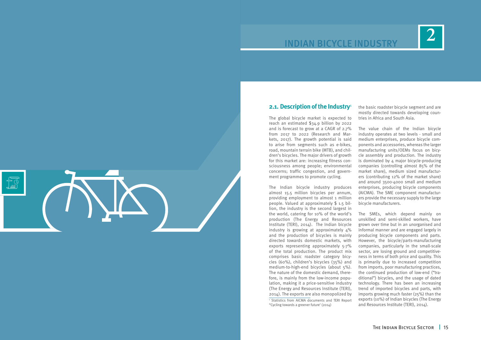The global bicycle market is expected to reach an estimated \$34.9 billion by 2022 and is forecast to grow at a CAGR of 2.7% from 2017 to 2022 (Research and Markets, 2017). The growth potential is said to arise from segments such as e-bikes, road, mountain terrain bike (MTB), and children's bicycles. The major drivers of growth for this market are: increasing fitness consciousness among people; environmental concerns; traffic congestion, and government programmes to promote cycling.

The Indian bicycle industry produces almost 15.5 million bicycles per annum, providing employment to almost 1 million people. Valued at approximately \$ 1.5 billion, the industry is the second largest in the world, catering for 10% of the world's production (The Energy and Resources Institute (TERI), 2014). The Indian bicycle industry is growing at approximately 4% and the production of bicycles is mainly directed towards domestic markets, with exports representing approximately 5-7% of the total production. The product mix comprises basic roadster category bicycles (60%), children's bicycles (35%) and medium-to-high-end bicycles (about 5%). The nature of the domestic demand, therefore, is mainly from the low-income population, making it a price-sensitive industry (The Energy and Resources Institute (TERI), 2014). The exports are also monopolized by

1 Statistics from AICMA documents and TERI Report "Cycling towards a greener future' (2014)

the basic roadster bicycle segment and are mostly directed towards developing coun-

tries in Africa and South Asia. The value chain of the Indian bicycle industry operates at two levels - small and medium enterprises, produce bicycle components and accessories, whereas the larger manufacturing units/OEMs focus on bicycle assembly and production. The industry is dominated by 4 major bicycle-producing companies (controlling almost 85% of the market share), medium sized manufacturers (contributing 12% of the market share) and around 3500-4000 small and medium enterprises, producing bicycle components (AICMA). The SME component manufacturers provide the necessary supply to the large bicycle manufacturers.

The SMEs, which depend mainly on unskilled and semi-skilled workers, have grown over time but in an unorganised and informal manner and are engaged largely in producing bicycle components and parts. However, the bicycle/parts-manufacturing companies, particularly in the small-scale sector, are losing ground and competitiveness in terms of both price and quality. This is primarily due to increased competition from imports, poor manufacturing practices, the continued production of low-end ("traditional") bicycles, and the usage of dated technology. There has been an increasing trend of imported bicycles and parts, with imports growing much faster (25%) than the exports (10%) of Indian bicycles (The Energy and Resources Institute (TERI), 2014).

# **2** INDIAN BICYCLE INDUSTRY

<span id="page-7-0"></span>

### **2.1. Description of the Industry<sup>1</sup>**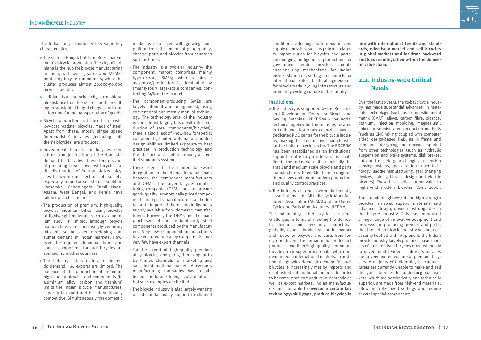<span id="page-8-0"></span>The Indian bicycle industry has some key characteristics:

- » The state of Punjab holds an 80% share in India's bicycle production. The city of Ludhiana is the hub for bicycle manufacturing in India, with over 3,500-4,000 MSMEs producing bicycle components, while the cluster produces almost 40,000-50,000 bicycles per day.
- » Ludhiana is a landlocked city, a considerable distance from the nearest ports, resulting in substantial freight charges and transition time for the transportation of goods.
- » Bicycle production is focused on basic, low-cost roadster bicycles, made of steel. Apart from these, mostly single speed (non-roadster) bicycles (including children's bicycles) are produced.
- » Government tenders for bicycles constitute a major fraction of the domestic demand for bicycles. These tenders aim at procuring basic, low-cost bicycles for the distribution of free/subsidized bicycles to low-income sections of society, especially in rural areas. States like Bihar, Karnataka, Chhattisgarh, Tamil Nadu, Assam, West Bengal, and Kerala have taken up such schemes.
- » The production of premium, high-quality bicycles (mountain bikes, racing bicycles of lightweight materials such as aluminium alloy) is limited, although bicycle manufacturers are increasingly venturing into this sector, given developing consumer demand in Indian markets. However, the required aluminium tubes and special components for such bicycles are sourced from other countries.
- » The industry caters mainly to domestic demand, i.e. exports are limited. The absence of the production of premium, high-quality bicycles and components (in aluminium alloy, carbon and titanium) limits the Indian bicycle manufacturers' capacity to export and be internationally competitive. Simultaneously, the domestic

market is also faced with growing competition from the import of good-quality, cheaper parts and bicycles from countries such as China.

- » The industry is a two-tier industry- the component market comprises mainly (3500-4000) SMEs; whereas bicycle assembly/production is dominated by (mainly four) large-scale companies, controlling 85% of the market.
- » The component-producing SMEs are largely informal and unorganised, using conventional and mostly manual technology. The technology level of the industry is considered largely basic (with the production of steel components/bicycles), there is also a lack of know-how for special components, limited automation, limited design abilities, limited exposure to best practices in production technology and the absence of an internationally accredited standards system.
- » There seems to be limited backward integration in the domestic value chain between the component manufacturers and OEMs. The larger bicycle-manufacturing companies/OEMs look to procure good- quality, economically priced components from parts manufacturers, and often resort to imports if there is no indigenous supply available from domestic manufacturers. However, the OEMs are the main purchasers of the predominantly steel components produced by the manufacturers. Very few component manufacturers have ventured into alloy components, and very few have export channels.
- » For the export of high-quality premium alloy bicycles and parts, there appear to be limited channels for marketing and sales in international markets. A few parts manufacturing companies have established one-to-one foreign collaborations, but such examples are limited.
- » The bicycle industry is also largely wanting of substantial policy support to channel

### **2.2.** Industry-wide Critical **Needs**

conditions affecting both demand and supply of bicycles, such as policies related to import duties for bicycles and parts, encouraging indigenous production for government tender bicycles, compliance-ensuring mechanisms for Indian bicycle standards, setting up channels for international sales, bilateral agreements for bicycle trade, cycling infrastructure and promoting cycling culture in the country.

#### Institutions:

- » The industry is supported by the Research and Development Centre for Bicycle and Sewing Machine (RDCBSM) - the nodal technical agency for the industry, located in Ludhiana. Not many countries have a dedicated R&D centre for the bicycle industry, making this a distinctive characteristic for the Indian bicycle sector. The RDCBSM has been established as an institutional support centre to provide various facilities to the industrial units, especially the small and medium-scale bicycle and parts manufacturers, to enable them to upgrade themselves and adopt modern production and quality control practices.
- » The industry also has two main industry associations – the All India Cycle Manufacturers' Association (AICMA) and the United Cycle and Parts Manufacturers (UCPMA).

The Indian bicycle industry faces several challenges in terms of meeting the domestic demand and becoming competitive globally, especially vis-à-vis both cheaper and superior bicycles and parts from foreign producers. The Indian industry doesn't produce medium/high-quality premium bicycles from superior materials, which are demanded in international markets. In addition, the growing domestic demand for such bicycles is increasingly met by imports and established international brands. In order to become more competitive in domestic as well as export markets, Indian manufacturers must be able to **overcome certain key technology/skill gaps, produce bicycles in** 

**line with international trends and standards, effectively market and sell bicycles in global markets and facilitate backward and forward integration within the domestic value chain.** 

Over the last 20 years, the global bicycle industry has made substantial advances in materials technology (such as composite metal matrix (CMM), alloys, carbon fibre, plastics, titanium, injection moulding, magnesium), linked to sophisticated production methods (such as CNC milling coupled with computer aided design-based R&D, as in frame and component designing) and concepts imported from other technologies (such as hydraulic suspension and brake systems, disk brakes, auto and electric gear changing, microchip sensing systems, specialization in tyre technology, saddle manufacturing, gear changing devices, folding bicycle design and electric bicycles). These have added further value to higher-end modern bicycles (Oxer, 2000).

The pursuit of lightweight and high-strength bicycles in newer, superior materials, and advanced design, drives most upgrades in the bicycle industry. This has introduced a huge range of innovative equipment and processes in producing bicycles and parts, that the Indian bicycle industry has not necessarily kept up with. At present, the Indian bicycle industry largely produces basic models of steel roadster bicycles directed mostly to government tenders, children's bicycles and a very limited volume of premium bicycles. A majority of Indian bicycle manufacturers are currently unable to make and sell the type of bicycles demanded in global markets, which are aesthetically and technically superior, are made from high-end materials, allow multiple-speed settings and require several special components.

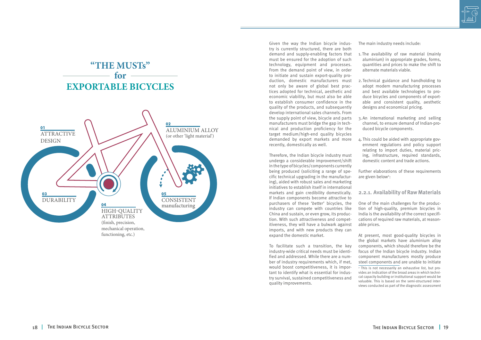Therefore, the Indian bicycle industry must undergo a considerable improvement/shift in the type of bicycles/components currently being produced (soliciting a range of specific technical upgrading in the manufacturing), aided with robust sales and marketing initiatives to establish itself in international markets and gain credibility domestically. If Indian components become attractive to purchasers of these '*better*' bicycles, the industry can compete with countries like China and sustain, or even grow, its production. With such attractiveness and competitiveness, they will have a bulwark against imports, and with new products they can expand the domestic market.

Given the way the Indian bicycle industry is currently structured, there are both demand and supply-enabling factors that must be ensured for the adoption of such technology, equipment and processes. From the demand point of view, in order to initiate and sustain export-quality production, domestic manufacturers must not only be aware of global best practices adopted for technical, aesthetic and economic viability, but must also be able to establish consumer confidence in the quality of the products, and subsequently develop international sales channels. From the supply point of view, bicycle and parts manufacturers must bridge the gap in technical and production proficiency for the target medium/high-end quality bicycles demanded by export markets and more recently, domestically as well. 1. The availability of raw material (mainly aluminium) in appropriate grades, forms, quantities and prices to make the shift to alternate materials viable. 2. Technical guidance and handholding to adopt modern manufacturing processes and best available technologies to produce bicycles and components of exportable and consistent quality, aesthetic designs and economical pricing. 3.An international marketing and selling channel, to ensure demand of Indian-produced bicycle components. 4. This could be aided with appropriate gov-

> Further elaborations of these requirements are given below<sup>2</sup>:

To facilitate such a transition, the key industry-wide critical needs must be identified and addressed. While there are a number of industry requirements which, if met, would boost competitiveness, it is important to identify what is essential for industry survival, sustained competitiveness and quality improvements.



The main industry needs include:

ernment regulations and policy support relating to import duties, material pricing, infrastructure, required standards, domestic content and trade actions.

#### **2.2.1. Availability of Raw Materials**

One of the main challenges for the production of high-quality, premium bicycles in India is the availability of the correct specifications of required raw materials, at reasonable prices.

At present, most good-quality bicycles in the global markets have aluminium alloy components, which should therefore be the focus of the Indian bicycle industry. Indian component manufacturers mostly produce steel components and are unable to initiate



<sup>2</sup> This is not necessarily an exhaustive list, but provides an indication of the broad areas in which technical capacity building or institutional support would be valuable. This is based on the semi-structured interviews conducted as part of the diagnostic assessment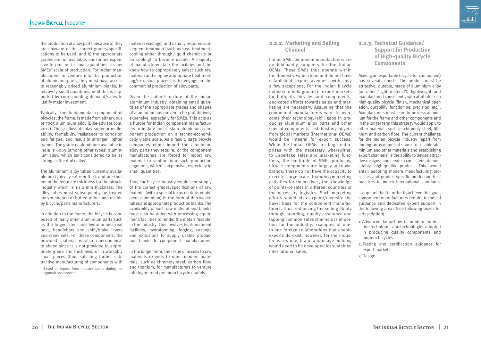the production of alloy parts because a) they are unaware of the correct grades/specifications to be used, and b) the appropriate grades are not available, and/or are expensive to procure in small quantities, as per SMEs' scale of production. For Indian manufacturers to venture into the production of aluminium parts, they must have access to reasonably priced aluminium blanks, in relatively small quantities, until this is supported by corresponding demand/sales to justify major investment.



Typically, the fundamental component of bicycles, the frame, is made from either 6061 or 7005 aluminium alloy (Bike-advisor.com, 2012). These alloys display superior malleability, formability, resistance to corrosion and fatigue, and result in stronger, lighter frames. The grade of aluminium available in India is 6063 (among other types) aluminium alloy, which isn't considered to be as strong as the 6061 alloy<sup>3</sup>.

The aluminium alloy tubes currently available are typically 1.6 mm thick and are thus not of the requisite thickness for the bicycle industry which is 1-1.2 mm thickness. The alloy tubes must subsequently be treated and/or shaped or butted to become usable by bicycle/parts manufacturers.

In addition to the frame, the bicycle is composed of many other aluminium parts such as the forged stem and hydroformed seat post, handlebars and shift/brake levers and crank sets. For these components, the provided material is also uneconomical to shape since it is not provided in appropriate grade and thickness, or in workably small pieces (thus soliciting further subtractive manufacturing of components with

3 Based on inputs from industry actors during the diagnostic assessment.

material wastage) and usually requires subsequent treatment (such as heat treatment, cooling either through liquid chemicals or air cooling) to become usable. A majority of manufacturers lack the facilities and the know-how to appropriately select such raw material and employ appropriate heat treating/extrusion processes to engage in the commercial production of alloy parts.

Given the nature/structure of the Indian aluminium industry, obtaining small quantities of the appropriate grades and shapes of aluminium has proven to be prohibitively expensive, especially for SMEs. This acts as a hurdle for Indian component manufacturers to initiate and sustain aluminium component production on a techno-economically viable scale. As a result, large bicycle companies either import the aluminium alloy parts they require, or the component manufacturers are forced to import raw material to venture into such production segments, which is expensive, especially in small quantities.

Thus, the bicycle industry requires the supply of the correct grades/specifications of raw material (with a special focus on 6061 equivalent aluminium) in the form of thin-walled tubes and appropriate production blanks. The availability of such raw material and blanks must also be aided with processing equipment/facilities to render the metals 'usable' in the industry. This involves heat-treatment facilities, hydroforming, forging, castings and extrusions to supply usable production blanks to component manufacturers.

In the longer term, the issue of access to raw materials extends to other modern materials, such as chromoly steel, carbon fibre and titanium, for manufacturers to venture into higher-end premium bicycle models.

#### **2.2.2. Marketing and Selling Channel**

Indian SME component manufacturers are predominantly suppliers for the Indian OEMs. These SMEs thus operate within the domestic value chain and do not have established export avenues, with only a few exceptions. For the Indian bicycle industry to hold ground in export markets for both, its bicycles and components, dedicated efforts towards sales and marketing are necessary. Assuming that the component manufacturers were to overcome their technology/skill gaps in producing aluminium alloy parts and other special components, establishing buyers from global markets (international OEMs) would be integral for export success. While the Indian OEMs are large enterprises with the necessary wherewithal to undertake sales and marketing functions, the multitude of SMEs producing bicycle components are largely unknown brands. These do not have the capacity to execute large-scale branding/marketing activities for themselves, the knowledge of points-of-sales in different countries or the necessary logistics. Such marketing efforts would also expand/diversify the buyer base for the component manufacturers. Thus, enhancing the selling ability through branding, quality assurance and tapping common sales channels is important for the industry. Examples of oneto-one foreign collaborations that enable exports do exist, however, for the industry as a whole, brand and image building would need to be developed for sustained international sales.

### **2.2.3. Technical Guidance/ Support for Production of High-quality Bicycle Components**

Making an exportable bicycle (or component) has several aspects. The product must be attractive, durable, made of aluminium alloy (or other 'light material'), lightweight and manufactured consistently with attributes of a high-quality bicycle (finish, mechanical operation, durability, functioning, precision, etc.). Manufacturers must learn to process aluminium for the frame and other components and in the longer term this strategy would apply to other materials such as chromoly steel, titanium and carbon fibre. The current challenge for the Indian bicycle industry (apart from finding an economical source of usable aluminium and other materials and establishing export channels) is the ability to devise attractive designs, and create a consistent, demonstrably high-quality product. This would entail adopting modern manufacturing processes and product-specific production best practices to match international standards. It appears that in order to achieve this goal, component manufacturers require technical

guidance and dedicated expert support in the following areas (see following boxes for a description):

1.Advanced know-how in modern production techniques and technologies adopted in producing quality components and modern bicycles

2. Testing and certification guidance for export markets

3.Design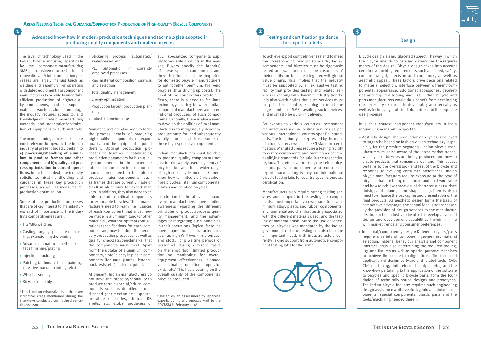#### Testing and certification guidance for export markets **Design**

#### Advanced know-how in modern production techniques and technologies adopted in producing quality components and modern bicycles

The level of technology used in the Indian bicycle industry, specifically by the component-manufacturing SMEs, is considered to be basic and conventional. A lot of production processes are largely manual (such as welding and assembly), or operating with dated equipment. For component manufacturers to be able to undertake efficient production of higher-quality components, and in superior materials (such as aluminium alloy), the industry requires access to, and knowledge of, modern manufacturing methods and adaptation/optimization of equipment to such methods.

Some of the production processes that are of key interest to manufacturers and of importance to the industry's competitiveness are<sup>4</sup>:

The manufacturing processes that are most relevant to upgrade the Indian industry at present broadly pertain to **a) processing/handling of aluminium to produce frames and other components, and b) quality and process optimization in current operations.** In such a context, the industry solicits technical handholding and guidance in these key production processes, as well as measures for production optimization.

- » TIG/MIG welding:
- » Casting, forging, pressure die casting, extrusion, hydroforming
- » Advanced coating methods/surface finishing/plating
- » Injection moulding
- » Painting (automated disc painting, effective manual painting, etc.)
- » Wheel assembly
- » Bicycle assembly

4 This is not an exhaustive list – these are indicative areas mentioned during the interviews conducted during the diagnostic assessment.

- » Stickering process (automated/ water-based, etc.)
- » PLC automation in currently employed processes
- » Raw material composition analysis and selection
- » Total quality management
- » Energy optimization
- » Production layout; production planning
- » Industrial engineering

Manufacturers are also keen to learn the process details of producing high-quality components of export quality, and the equipment required therein. Optimal production processes tie together in establishing production parameters for high-quality components. In the immediate future, Indian bicycle component manufacturers need to be able to produce major components (such as frames that are currently made of steel) in aluminium for export markets. In addition, they also need to be able to produce critical components for exportable bicycles. Thus, manufacturers need to learn the nuances of each component that must now be made in aluminium (and/or other materials), what the optimal configurations/specifications for each component are, how to adopt the necessary production processes, as well as quality checklists/benchmarks that the components must meet. Apart from the uptake of aluminium components, a proficiency in plastic components (for mud guards, fenders, back rests, etc.) is also required.

At present, Indian manufacturers do not have the capacity/capability to produce certain special/critical components such as derailleurs, multi-speed gear mechanisms, spokes, freewheels/cassettes, hubs, BB shells, etc. Global producers of such specialized components supply top-quality products in the market. Buyers specify the brand(s) of these special components and they therefore must be imported for domestic bicycle manufacturers to put together premium, high-end bicycles (thus driving up costs). The need of the hour is thus two-fold – firstly, there is a need to facilitate technology sharing between Indian component manufacturers and international producers of such components. Secondly, there is also a need to develop the abilities of local manufacturers to indigenously develop/ produce parts for, and subsequently wholly produce at least some of these high-specialty components.

Indian manufacturers must be able to produce quality components not just for the widely used segments of bicycles, but also for a wider range of high-end bicycle models. Current know-how is limited vis-à-vis carbon fibre bicycles, Titanium components, e-bikes and bamboo bicycles.

In addition to the above, a majority of manufacturers have limited awareness regarding the different principles of product/process quality management, and the advantages of integrating such principles in their operations. Typical factories have operational characteristics such as high WIP (work-in-progress) and stock, long waiting periods of personnel during different tasks on the shop-floor, limited production-line monitoring for overall equipment effectiveness, planned vs. actual production, operator skills, etc.<sup>5</sup> This has a bearing on the overall quality of the components/

bicycles produced.

5 Based on an assessment by Japanese experts during a diagnostic visit to the RDCBSM in February 2018.

To achieve export competitiveness and to meet the corresponding product standards, Indian components and bicycles must be rigorously tested and validated to assure customers of their quality and become integrated with global value chains. This implies that the industry must be supported by an exhaustive testing facility that provides testing and related services in keeping with dynamic industry trends. It is also worth noting that such services must be priced reasonably, keeping in mind the large number of SMEs availing such services, and must also be quick in delivery.

For exports to various countries, component manufacturers require testing services as per various international country-specific standards. The top priority, as expressed by the manufacturers interviewed, is the EN standard certification. Manufacturers require a testing facility to certify components and bicycles as per the qualifying standards for sale in the respective regions. Therefore, at present, the select bicycle and parts manufacturers who produce for export markets largely rely on international bicycle testing labs for country-specific product certification.

Manufacturers also require strong testing services and support in the testing of: components, most importantly now, made from aluminium alloy; plastic and rubber components; environmental and chemical testing associated with the different materials used, and the testing of material finish. Since the use of reflectors on bicycles was mandated by the Indian government, reflector testing has also become an important need, with industry actors currently taking support from automotive component testing labs for the same.





Bicycle design is a multifaceted subject. The way in which the bicycle intends to be used determines the requirements of the design. Bicycle design takes into account certain overarching requirements such as speed, safety, comfort, weight, precision and endurance, as well as aesthetic appeal. These factors drive decisions related to material selection, interface between different components, appearance, additional accessories, geometrics and required tooling and jigs. Indian bicycle and parts manufacturers would thus benefit from developing the necessary expertise in developing aesthetically as well as technically proficient blueprints and the requisite design-sense.

In such a context, component manufacturers in India require upgrading with respect to:

» Aesthetic design: The production of bicycles is believed to largely be based on fashion-driven technology, especially for the premium segments. Indian bicycle manufacturers must be aware of the latest market trends, what type of bicycles are being produced and how to create products that consumers demand. This aspect pertains to the overall look and feel of the bicycle and responds to evolving consumer preferences. Indian bicycle manufacturers require exposure to the type of bicycles that are being demanded and sold worldwide and how to achieve those visual characteristics (surface finish, paint colours, frame shapes, etc.). There is also a need to enhance the packaging and presentation of the final products. As aesthetic design forms the basis of competitive advantage, the central idea is not necessarily the provision of design services to the manufacturers, but for the industry to be able to develop advanced design and development capabilities therein, in line with market trends and consumer preferences.

» Industrial/componentry design: Different bicycles/parts require a variety of component geometries, material selection, material behaviour analysis and component interface, thus also determining the required tooling, jigs and fixtures as well as special purpose machines to achieve the desired configurations. The increased application of design software and related tools (CAD, CNC machining, finite element analysis, etc.) and the know-how pertaining to the application of the software to bicycles and specific bicycle parts, form the foundation of technically sound designs and prototypes. The Indian bicycle industry requires such engineering design assistance whilst venturing into aluminium components, special components, plastic parts and the tools/machining needed therein.

**1 2 3**

#### **Areas Needing Technical Guidance/Support for Production of High-quality Bicycle Components**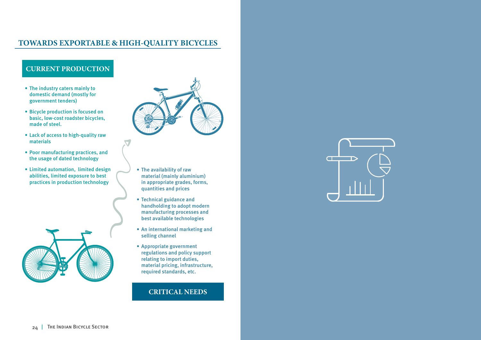# **TOWARDS EXPORTABLE & HIGH-QUALITY BICYCLES**

## **CURRENT PRODUCTION**

### **CRITICAL NEEDS**



- The availability of raw material (mainly aluminium) in appropriate grades, forms, quantities and prices
- Technical guidance and handholding to adopt modern manufacturing processes and best available technologies
- An international marketing and selling channel
- Appropriate government regulations and policy support relating to import duties, material pricing, infrastructure, required standards, etc.
- The industry caters mainly to domestic demand (mostly for government tenders)
- Bicycle production is focused on basic, low-cost roadster bicycles, made of steel.
- Lack of access to high-quality raw materials
- Poor manufacturing practices, and the usage of dated technology
- Limited automation, limited design abilities, limited exposure to best practices in production technology



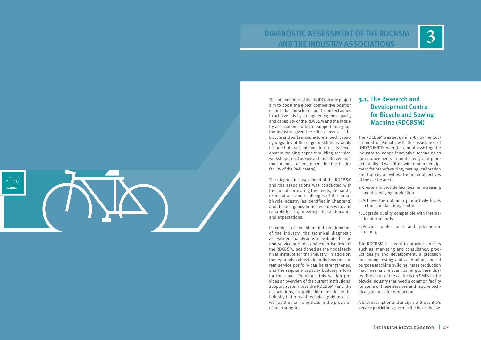The interventions of the UNIDO bicycle project aim to boost the global competitive position of the Indian bicycle sector. The project aimed to achieve this by strengthening the capacity and capability of the RDCBSM and the industry associations to better support and guide the industry, given the critical needs of the bicycle and parts manufacturers. Such capacity upgrades of the target institutions would include both soft interventions (skills development, training, capacity building, technical workshops, etc.) as well as hard interventions (procurement of equipment for the testing facility of the R&D centre).

The diagnostic assessment of the RDCBSM and the associations was conducted with the aim of correlating the needs, demands, expectations and challenges of the Indian bicycle industry (as identified in Chapter 2) and these organizations' responses to, and capabilities in, meeting these demands and expectations.

In context of the identified requirements of the industry, the technical diagnostic assessment mainly aims to evaluate the current service portfolio and expertise level of the RDCBSM, positioned as the nodal technical institute for the industry. In addition, the report also aims to identify how the current service portfolio can be strengthened, and the requisite capacity building efforts for the same. Therefore, this section provides an overview of the current institutional support system that the RDCBSM (and the associations, as applicable) provides to the industry in terms of technical guidance, as well as the main shortfalls in the provision of such support.

### **3.1.** The Research and Development Centre for Bicycle and Sewing Machine (RDCBSM)

The RDCBSM was set up in 1983 by the Government of Punjab, with the assistance of UNDP/UNIDO, with the aim of assisting the industry to adopt innovative technologies for improvements in productivity and product quality. It was fitted with modern equipment for manufacturing, testing, calibration and training activities. The main objectives of the centre are to: 1.Create and provide facilities for increasing and diversifying production

- 
- 2.Achieve the optimum productivity levels in the manufacturing centre
- 3.Upgrade quality compatible with international standards
- 4.Provide professional and job-specific training

The RDCBSM is meant to provide services such as: marketing and consultancy; product design and development; a precision tool room; testing and calibration; special purpose machine building; mass production machines, and relevant training to the industry. The focus of the centre is on SMEs in the bicycle industry that need a common facility for some of these services and require technical guidance for production.

A brief description and analysis of the centre's **service portfolio** is given in the boxes below.

# **3** DIAGNOSTIC ASSESSMENT OF THE RDCBSM AND THE INDUSTRY ASSOCIATIONS

<span id="page-13-0"></span>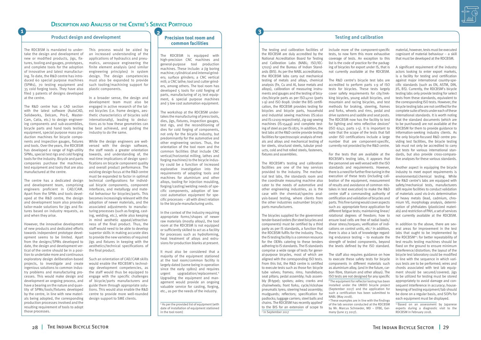### **Description and Analysis of the Centre's Service Portfolio**

#### Testing and calibration

The testing and calibration facilities of the RDCBSM are duly accredited by the National Accreditation Board for Testing and Calibration Labs (NABL; ISO/IEC-17025) and the Bureau of Indian Standards (BIS). As per the NABL accreditation, the RDCBSM labs carry out mechanical testing of metals and alloys, chemical analysis (Fe, Cu and Al, base metals and alloys), calibration of measuring instruments and gauges and the testing of bicycles/bicycle parts as per ISO:4210 (parts 1-9) and ISO 8098. Under the BIS certification, the RDCBSM provides testing for bicycles and bicycle parts, household and industrial sewing machines (IS:1610 and IS:12109 respectively), zig-zag sewing machines (IS:15449) and complete testing of steel as per IS:1875. In addition, the test labs at the R&D centre provide testing facilities for spectroscopic analysis of metals and alloys and mechanical testing of tor steels, structural steels, tubular products, cold and hot rolled steels, fasteners, fixtures and assemblies.

The RDCBSM's testing and calibration facilities are one of the key services provided to the industry. The mechanical test labs, the standards room and the coordinate measuring machine also cater to the needs of automotive and other engineering industries, as is the case with the chemical/spectro analysis-based testing, where clients from the other industries outnumber bicycle/ parts manufacturers.

The bicycles supplied for the government tender-based orders (for steel bicycles and components) must be certified by a third party as per IS standards, a function that the RDCBSM fulfils for the industry. Thus, the IS testing facility is a common resource for the OEMs catering to these tenders adhering to IS standards. The IS standards comprise a wide range of tests for general-purpose bicycles, most of which are aligned with the corresponding ISO tests. From this list, the R&D centre is certified to execute tests such as those for: bicycle tube valves; frames; rims; handlebars; seat pillars; pedal assembly; hub assembly (R-type); spokes; axles; cranks and chainwheels; front forks; cycle/rickshaw pneumatic tyres; steering head assembly; mudguards; reflectors; specification for padlocks; luggage carriers; steel balls and chains. The RDCBSM has recently applied7 to the BIS for an extension of scope to 7 In September 2017

9 These examples are in line with the findings of the lab session conducted at the RDCBSM by Mr. Marcus Schroeder, MD – EFBE, Germany (June 23 2017).

include more of the component-specific tests, to now form this more exhaustive coverage of tests. An exception to this list is the code of practice for the packaging of bicycles for export under IS, that is not currently available at the RDCBSM.

The R&D centre's bicycle test labs are accredited to perform parts 1-9 of ISO tests for bicycles. These tests largely cover safety requirements for city/trekking bicycles, young adult bicycles, and mountain and racing bicycles, and test methods for braking, steering, frames and forks, wheels and rims, pedal and drive systems and saddle and seat posts. The RDCBSM now has the facility to test for lighting and retro reflective devices<sup>8</sup>  $(ISO 6742; parts 1-5)$ . It is important to note that the scope of the tests that fall under ISO certifications include a large number that are component-specific, currently not provided by the R&D centre.

> <sup>10</sup>Based on an assessment by Japanese experts during a diagnostic visit to the RDCBSM in February 2018.

For the tests that are available at the RDCBSM's testing labs, it appears that the personnel are well versed with the ISO standards and requirements. However, there is a need for further fine-tuning in the execution of these tests (including calibration of the equipment, measurement of results and avoidance of common mistakes in test execution) to make the R&D centre staff a commanding authority of certification and validation of bicycles and parts. This fine-tuning would cover aspects such as: appropriate force application for different fatigue tests; maintaining linear/ rotational degrees of freedom; how to ensure load cells are free of radial loads/ shear stress/torques; verification of indications on control units, etc.<sup>9</sup> In addition, there is also a lack of knowledge regarding endurance testing – to evaluate the strength of tested components, beyond the levels defined by the ISO standard.

The staff also requires guidance on how to execute these safety tests for bicycle components in different materials such as aluminium alloy, (and in the future, carbon fibre, titanium and other alloys). The ISO tests are not designed for any specific  $\overline{\text{B}}$ <sup>8</sup> The equipment for reflector testing has been installed under the UNIDO bicycle project (September 2017) and the application for such a certification has been submitted to NABL (May 2018).

material, however, tests must be executed cognizant of material behaviour – a skill that must be developed at the RDCBSM.

A significant requirement of the industry actors looking to enter export markets, is a facility for testing and certification against major international country-specific standards (such as EN, ASTM, DIN, JIS, BS). Currently, the RDCBSM's bicycle testing labs only provide testing for select tests from these standards, equivalent to the corresponding ISO tests. However, the bicycle testing labs are not certified for the complete suite of tests under each of these international standards. It is worth noting that the standard documents (which are to be purchased) are not available at the RDCBSM for them to provide guidance to information-seeking industry clients. As the only bicycle-focused R&D centre providing test facilities, the bicycle testing lab must not only be accredited to carry out tests for various international standards, but also provide cross-comparative analyses for these various standards.

Another aspect in equipping the bicycle industry to meet export requirements is environmental/chemical testing. While the R&D centre's labs are equipped with safety/mechanical tests, manufacturers still require facilities to conduct validation of materials used vis-à-vis determination of heavy metals (lead, cadmium, chromium VI), morphology analysis, determination of phthalates (plasticized materials) and restriction of PAH, a set of services not currently available at the RDCBSM.

In addition to the above, there are several areas for improvement in the test labs that ought to be implemented by the RDCBSM<sup>10</sup>: for better repeatability of test results testing machines should be fixed on the ground to ensure minimum interference/distortion; the layout of the bicycle test laboratory could be modified in line with the sequence in which various tests are to be performed; wires and chords associated with test lab equipment should be secured/covered; jigs to be utilized for testing must be stored appropriately to avoid damage and consequent interference in accuracy; housekeeping of testing equipment/lab should be done on a regular basis, and SOPs for each equipment must be displayed.

**3**

#### Product design and development

The RDCBSM is mandated to undertake the design and development of new or modified products, jigs, fixtures, tooling and gauges, prototypes, and complete tools for the adoption of innovative and latest manufacturing. To date, the R&D centre has introduced 60 special purpose machines (SPMs), 70 testing equipment and 35 cold forging tools. They have also filed 3 patents of designs developed at the centre.

The R&D centre has a CAD section with the latest software (AutoCAD, Solidworks, Delcam, Pro-E, Master-Cam, Catia, etc.) to design engineering components and sub-assemblies, bicycle parts and hand tools testing equipment, special purpose mass production machines for bicycle components and inspection gauges, fixtures and tools. Over the years, the RDCBSM has developed a range of high-utility SPMs, special test rigs and cold forging tools for the industry. Bicycle and parts companies purchase the machines, test equipment and tools that are also manufactured at the centre.

The centre has a dedicated design and development team, comprising engineers proficient in CAD/CAM. Apart from the SPMs and tools developed at the R&D centre, the design and development team also provides tailor-made solutions for jigs and fixtures based on industry requests, as and when they arise.

However, the innovative development of new products and dedicated efforts towards independent prototype development seems to be limited. Apart from the designs/SPMs developed to date, the design and development vertical of the centre should be in a position to undertake more and continuous exploratory design deliberation-based projects, to investigate and create ingenious solutions to common industry problems and manufacturing processes. This would make design and development an ongoing process, and have a bearing on the nature and quantity of SPMs/tools/fixtures developed by the centre, in line with new materials being adopted, the corresponding production processes involved and the resulting requirement of tools to adopt those processes.

This process would be aided by an increased understanding of the applications of hydraulics and pneumatics, aerospace engineering the finite element analysis (and similar engineering principles) in system design. The design competencies must also be expanded to provide such tooling/machining support for plastic components.

In a broader sense, the design and development team must also be engaged in active research of the latest bicycles (i.e. frame designs, aesthetic characteristics of bicycles sold internationally), leading to deductions as to how these geometries can be best achieved, and guiding the industry to do the same.

While the design engineers are wellversed with the design software, the staff needs a greater orientation towards, and understanding of, the real-time implications of design specifications on bicycle component quality and overall product performance. The existing design focus at the R&D centre must be expanded to factor in optimal technical configurations for individual bicycle components, component interfaces, and metallurgy and material behaviour for bicycles/parts. This becomes increasingly relevant with the adoption of newer materials, and the associated adjustments to manufacturing processes (such as forging, casting, welding, etc.), while also keeping in mind aesthetic appeal/attractiveness of the final product. Thus, the staff would need to be able to develop superior skills in making accurate dies to provide the new varieties of required jigs and fixtures in keeping with the aesthetics/technical specifications of the final product.

Such an orientation of CAD/CAM skills would enable the RDCBSM's technology development competencies, as the staff would thus be equipped to engage with the specific challenges of bicycle/parts manufacturers and guide them through appropriate solutions. This would also enable the R&D centre to provide more well-rounded design support to SME clients.

The RDCBSM is equipped with high-precision CNC machines and general-purpose tool production machines. These include: a jig boring machine; cylindrical and internal grinders; surface grinders; a CNC vertical mill; a CNC lathe; tool and cutter grinders, among others. The tool room has developed 5 tools for cold forging of parts, manufacturing of 25 test equipment, 6 special purpose machines and 3 low cost automation equipment.

The workshop at the RDCBSM undertakes the manufacturing of press tools, dies, jigs, fixtures, inspection gauges, test rigs, and the reconditioning of dies for cold forging of components, not only for the bicycle industry, but predominantly for the automotive and other engineering sectors. Thus, the orientation of the tool room and the common facilities (that include CNC vertical/horizontal milling, lathes and forging machines) to the bicycle industry could be a function of increased explorative investigation into the requirements of adapting tools and machines for aluminium and other alloys, tooling for injection moulding, forging/casting/welding needs of specific components, adoption of lowcost automation equipment for specific processes – all with direct relation to the bicycle-manufacturing units.

In the context of the industry requiring appropriate forms/shapes of newer raw materials (mostly alloys), the tool room at the RDCBSM is not equipped or sufficiently skilled to act as a facility for processes such as hydroforming, heat treatment of alloys and extrusions for production blanks at present.

It must also be considered that a majority of the equipment stationed at the tool room/common facility is largely dated (some being in operation since the early 1980s) and requires urgent upgradation/replacement.<sup>6</sup> Upgrading the equipment and management would provide an ongoing valuable service for casting, forging, etc., as per the needs of the industry.

6 As per the provided list of equipment (with date of installation of equipment stationed in the tool room)

**1**

#### **Precision tool room and common facilities**

**2**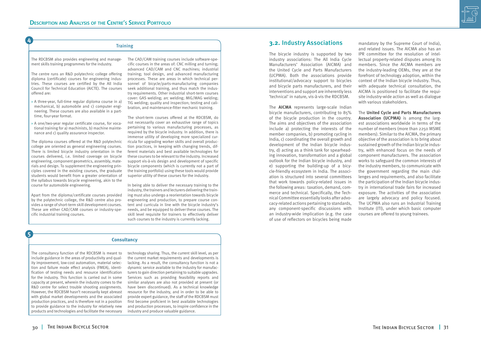### **3.2.** Industry Associations

The bicycle industry is supported by two industry associations: The All India Cycle Manufacturers' Association (AICMA) and the United Cycle and Parts Manufacturers (UCPMA). Both the associations provide institutional/advocacy support to bicycles and bicycle parts manufacturers, and their interventions and support are inherently less 'technical' in nature, vis-à-vis the RDCBSM.

The **AICMA** represents large-scale Indian bicycle manufacturers, contributing to 85% of the bicycle production in the country. The aims and objectives of the association include a) protecting the interests of the member companies, b) promoting cycling in India, c) coordinating the overall growth and development of the Indian bicycle industry, d) acting as a think tank for spearheading innovation, transformation and a global outlook for the Indian bicycle industry, and e) supporting the building-up of a bicycle-friendly ecosystem in India. The association is structured into several committees that work towards policy-related issues in the following areas: taxation, demand, commerce and technical. Specifically, the Technical Committee essentially looks after advocacy-related actions pertaining to standards, any component-specific discussions with an industry-wide implication (e.g. the case of use of reflectors on bicycles being made

mandatory by the Supreme Court of India), and related issues. The AICMA also has an IPR committee for the resolution of intellectual property-related disputes among its members. Since the AICMA members are the industry-leading OEMs, they are at the forefront of technology adoption, within the context of the Indian bicycle industry. Thus, with adequate technical consultation, the AICMA is positioned to facilitate the requisite industry-wide action as well as dialogue with various stakeholders.

The **United Cycle and Parts Manufacturers Association (UCPMA)** is among the largest associations worldwide in terms of the number of members (more than 2250 MSME members). Similar to the AICMA, the primary objective of the association is to bring about sustained growth of the Indian bicycle industry, with enhanced focus on the needs of component manufacturers. The association works to safeguard the common interests of the industry members, to communicate with the government regarding the main challenges and requirements, and also facilitate the participation of the Indian bicycle industry in international trade fairs for increased exposure. The activities of the association are largely advocacy and policy focused. The UCPMA also runs an Industrial Training Institute (ITI), under which basic computer courses are offered to young trainees.



#### **Consultancy**

The RDCBSM also provides engineering and management skills training programmes for the industry.

The centre runs an R&D polytechnic college offering diploma (certificate) courses for engineering industries. These courses are certified by the All India Council for Technical Education (AICTE). The courses offered are:

- » A three-year, full-time regular diploma course in a) mechanical, b) automobile and c) computer engineering. These courses are also available in a parttime, four-year format.
- » A one/two-year regular certificate course, for vocational training for a) machinists, b) machine maintenance and c) quality assurance inspector.

The diploma courses offered at the R&D polytechnic college are oriented as general engineering courses. There is limited bicycle industry orientation in the courses delivered, i.e. limited coverage on bicycle engineering, component geometrics, assembly, materials and design. To supplement the engineering principles covered in the existing courses, the graduate students would benefit from a greater orientation of the syllabus towards bicycle engineering, akin to the course for automobile engineering.

Apart from the diploma/certificate courses provided by the polytechnic college, the R&D centre also provides a range of short-term skill development courses. These are either CAD/CAM courses or industry-specific industrial training courses.

The CAD/CAM training courses include software-specific courses in the areas of: CNC milling and turning; advanced CAD/CAM and CNC machines; industrial training; tool design, and advanced manufacturing processes. These are areas in which technical personnel of bicycle/parts-manufacturing companies seek additional training, and thus match the industry requirements. Other industrial short-term courses cover: GAS welding; arc welding; MIG/MAG welding; TIG welding; quality and inspection; testing and calibration, and maintenance-fitter mechanic training.

The short-term courses offered at the RDCBSM, do not necessarily cover an exhaustive range of topics pertaining to various manufacturing processes, as required by the bicycle industry. In addition, there is immense utility of developing more specialized curricula for upgrading worker skills and overall production practices, in keeping with changing trends, different materials and best available technologies for these courses to be relevant to the industry. Increased support vis-à-vis design and development of specific bicycle components (which is currently not a part of the training portfolio) using these tools would provide superior utility of these courses for the industry.

In being able to deliver the necessary training to the industry, the trainers and lecturers delivering the training must also undergo a reorientation towards bicycle engineering and production, to prepare course content and curricula in line with the bicycle industry's needs, and be equipped to deliver these courses. The skill level requisite for trainers to effectively deliver such courses to the industry is currently lacking.

The consultancy function of the RDCBSM is meant to include guidance in the areas of productivity and quality improvement, low-cost automation, material selection and failure mode effect analysis (FMEA), identification of testing needs and resource identification for the industry. This function is carried out in some capacity at present, wherein the industry comes to the R&D centre for select trouble shooting assignments. However, the RDCBSM hasn't necessarily kept abreast with global market developments and the associated production practices, and is therefore not in a position to provide guidance to the industry for relatively new products and technologies and facilitate the necessary

technology sharing. Thus, the current skill level, as per the current market requirements and developments is lacking. As a result, the consultancy function is not a dynamic service available to the industry for manufacturers to gain direction pertaining to suitable upgrades. Services such as providing feasibility reports and similar analyses are also not provided at present (or have been discontinued). As a technical knowledge resource for the industry, and in order to be able to provide expert guidance, the staff of the RDCBSM must first become proficient in best available technologies and production processes, to inspire confidence in the industry and produce valuable guidance.

<span id="page-15-0"></span>**4**

**5**

#### **Training**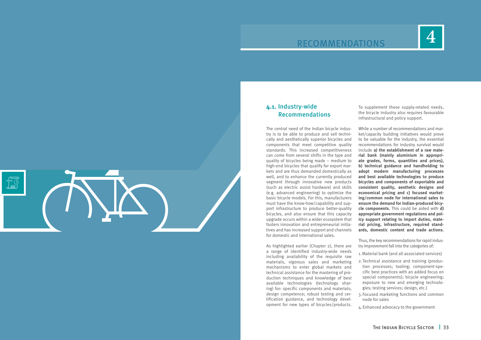# **4**

### **4.1.** Industry-wide Recommendations

The central need of the Indian bicycle industry is to be able to produce and sell technically and aesthetically superior bicycles and components that meet competitive quality standards. This increased competitiveness can come from several shifts in the type and quality of bicycles being made – medium to high-end bicycles that qualify for export markets and are thus demanded domestically as well, and to enhance the currently produced segment through innovative new products (such as electric assist hardware) and skills (e.g. advanced engineering) to optimize the basic bicycle models. For this, manufacturers must have the know-how/capability and support infrastructure to produce better-quality bicycles, and also ensure that this capacity upgrade occurs within a wider ecosystem that fosters innovation and entrepreneurial initiatives and has increased support and channels for domestic and international sales.

As highlighted earlier (Chapter 2), there are a range of identified industry-wide needs including availability of the requisite raw materials, vigorous sales and marketing mechanisms to enter global markets and technical assistance for the mastering of production techniques and knowledge of best available technologies (technology sharing) for: specific components and materials; design competence; robust testing and certification guidance, and technology development for new types of bicycles/products.

To supplement these supply-related needs, the bicycle industry also requires favourable infrastructural and policy support.

While a number of recommendations and market/capacity building initiatives would prove to be valuable for the industry, the essential recommendations for industry survival would include **a) the establishment of a raw material bank (mainly aluminium in appropriate grades, forms, quantities and prices), b) technical guidance and handholding to adopt modern manufacturing processes and best available technologies to produce bicycles and components of exportable and consistent quality, aesthetic designs and economical pricing and c) focused marketing/common node for international sales to ensure the demand for Indian-produced bicycle components.** This could be aided with **d) appropriate government regulations and policy support relating to import duties, material pricing, infrastructure, required standards, domestic content and trade actions.**

Thus, the key recommendations for rapid industry improvement fall into the categories of:

1.Material bank (and all associated services)

2. Technical assistance and training (production processes; tooling; component-specific best practices with an added focus on special components); bicycle engineering; exposure to new and emerging technologies; testing services; design, etc.)

3. Focused marketing functions and common node for sales

4.Enhanced advocacy to the government

# RECOMMENDATIONS

<span id="page-16-0"></span>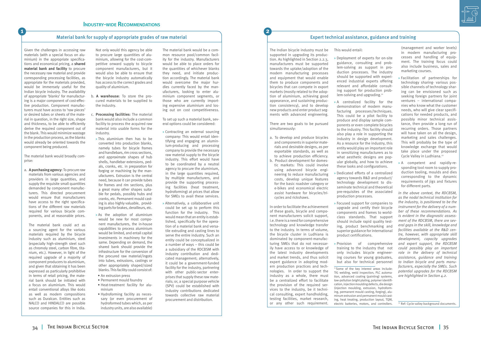#### Material bank for supply of appropriate grades of raw material

Given the challenges in accessing raw materials (with a special focus on aluminium) in the appropriate specifications and economical pricing, a **shared material bank and facility** to procure the necessary raw material and provide corresponding processing facilities, as appropriate for the materials provided, would be immensely useful for the Indian bicycle industry. The availability of appropriate 'blanks' for manufacturing is a major component of cost-effective production. Component manufacturers must have access to 'raw pieces' or desired tubes or sheets of the material in question, in the right size, shape and thickness, to be able to efficiently derive the required component out of the blank. This would minimize wastage in the production process, as the blanks would already be oriented towards the component being produced.

The material bank would broadly comprise:

a. **A purchasing agency**: To procure raw materials from various agencies and providers in large quantities, and supply the requisite small quantities demanded by component manufacturers. This directed procurement would ensure that manufacturers have access to the right specifications of the different raw materials required for various bicycle components, and at reasonable prices.

The material bank could act as a sourcing agent for the various materials required by the bicycle industry such as aluminium, steel (especially high-strength steel such as chromoly steel, carbon fibre, titanium, etc.). However, in light of the required upgrade of a majority of component producers to aluminium, and given that obtaining it has been expressed as particularly prohibitive in terms of retail pricing, the material bank should be initiated with a focus on aluminium. This would entail conventional alloys like 6061 as well as modern compositions such as Duralcan. Entities such as NALCO and HINDALCO are possible source companies for this in India.

Not only would this agency be able to procure large quantities of aluminium, allowing for the cost-competitive onward supply to bicycle component manufacturers, but it would also be able to ensure that the bicycle industry automatically has access to the correct grades and quality of aluminium.

- b. **A warehouse**: To store the procured materials to be supplied to the industry.
- c. **Processing facilities**: The material bank would also include a common facility to process the acquired raw material into usable forms for the industry.
- » This aluminium then has to be converted into production blanks, namely tubes for bicycle frames and handlebars, rim cross sections, and approximate shapes of hub shells, handlebar extensions, pedals, cranks, etc. in preparation for forging or machining by the manufacturers. Extrusion is the central need, because it can provide tubes for frames and rim sections, plus a great many other shapes suitable for pedals, possibly hubs and cranks, etc. Permanent mould casting is also highly valuable, provid-
- ing parts for brakes, derailleurs, etc.

» As the adoption of aluminium would be new for most component manufacturers, the in-house capabilities to process aluminium would be limited, and entail capital investments in machinery for the same. Depending on demand, the shared bank should provide the infrastructure for the conversion of the procured raw material/ingots into tubes, extrusions, castings or other appropriately shaped/sized blanks. This facility could consist of:

- **•** An extrusion press
- **•** Permanent mould foundry
- **•** Heat-treatment facility for aluminium
- **•** Hydroforming facility as necessary (or even procurement of hydroformed tubes which, as per industry units, are also available)

The material bank would be a common resource pool/common facility for the industry. Manufacturers would be able to place orders for the quantities of whichever blanks they need, and initiate production accordingly. The material bank would overcome the major hurdles currently faced by the manufacturers, looking to enter aluminium component segments, or those who are currently importing expensive aluminium and losing out on cost competitiveness.

To set up such a material bank, several options could be considered:

> <sup>11</sup>Some of the key interest areas include: TIG welding, weld inspection, PLC automation, advanced coating (painting) systems, low-pollution bright plating, polymer identification, injection moulding defects, die design (injection moulding, extrusion, hydroforming, permanent mould casting, forging), aluminum extrusion and permanent mould casting, heat treating, production layout, TQM, electric batteries, motors, and controllers.



- » Contracting an external sourcing company: This would entail identifying and engaging an aluminium-producing and processing company to provide the necessary raw material supply to the bicycle industry. This effort would have to be coordinated by a neutral agency to procure the aluminium, in the large quantities required, by multiple manufacturers, and provide the supporting processing facilities (heat treatment, hydroforming) at prices that allow for SMEs to avail these services.
- » Alternatively, a collaborative unit could be set up to perform this function for the industry. This would mean that an entity is established, specifically for the operation of a material bank and versatile extruding and casting lines to serve the entire industry. Such an entity could be conceptualized in a number of ways – this could be a subsidiary of the RDCBSM with industry contribution and dedicated management; alternatively, it could be a government-funded facility for the industry, partnering with other public-sector enterprises that supply these raw materials; or, a special purpose vehicle (SPV) could be established with industry contributions dedicated towards collective raw material procurement and distribution.

**1**

#### Expert technical assistance, guidance and training

**2**

The Indian bicycle industry must be supported in upgrading its produc-

tion. As highlighted in Section 2.2.3, manufacturers must be supported towards the uptake/adoption of the modern manufacturing processes and equipment that would enable them to produce components and bicycles that can compete in export markets (mostly related to the adoption of aluminium, achieving good appearance, and sustaining production consistency), and to develop new products and enter product segments with advanced engineering.

There are two goals to be pursued simultaneously:

- a. To develop and produce bicycles and components in superior materials and desirable designs, as per exportable standards, as well as to achieve production efficiency.
- b. Product development for domestic markets: This could involve using advanced bicycle engineering to reduce manufacturing costs, develop unique features for the basic roadster category or e-bikes and economical electric assist hardware for bicycles/tricycles and rickshaws.

In order to facilitate the achievement of these goals, bicycle and component manufacturers solicit support, i.e. there is a need for comprehensive technology and knowledge transfer to the industry. In terms of volume, the bicycle cluster in Ludhiana is dominated by component-manufacturing SMEs that do not necessarily have access to or knowledge of the latest industry developments and market trends, and thus solicit expert guidance in adopting modern production practices and technologies. In order to support the industry as a whole, there must be a centralized effort to facilitate the provision of the required services to the industry, be it technical consulting, expert handholding, testing facilities, market research, or any other such requirement. This would entail:

» Deployment of experts for on-site guidance, consulting and problem-solving as support in production processes. The industry should be supported with experienced industrial experts offering relevant and affordable consult-

ing support for production problem-solving and upgrading.<sup>11</sup> » A centralized facility for the demonstration of modern manufacturing processes/techniques. This could be a pilot facility to produce and display sample components or even complete bicycles to the industry. This facility should also play a role in supporting the industry in design development. As a resource for the industry, this entity would play an important role in sensitizing manufacturers as to what aesthetic designs are popular globally, and how to achieve these looks and configurations.

agency towards R&D and product/ technology development to disseminate technical and theoretical pre-requisites of the associated

- » Dedicated efforts of a centralized production processes.
- product certifications.
- 

» Focused support for companies to upgrade and certify their bicycle components and frames to worldclass standards. That support should include rapid quality testing, product benchmarking and superior guidance for international

» Provision of comprehensive training to the industry that not only includes bicycle engineering courses for young graduates, but also for technical personnel (management and worker levels) in modern manufacturing processes and handling of equipment. The training focus could also include business, sales and marketing courses.

- » Facilitation of partnerships for technology sharing- various possible channels of technology sharing can be envisioned such as seeking foreign partners for joint ventures – international companies who know what the customer needs, who will give clear specifications for needed products, and possibly minor technical assistance, then provide a long run of recurring orders. Those partners will have taken on all the design, marketing and sales challenges. This will probably be the type of knowledge exchange that would take place under the proposed Cycle Valley in Ludhiana.<sup>12</sup>
- » A competent and rapidly-responding tool room to supply production tooling, moulds and dies corresponding to the dynamic requirements of jigs and fixtures for different parts.

*In the above context, the RDCBSM, as the nodal technical institution for the industry, is positioned to be the instrument for the delivery of a number of these recommendations. As is evident in the diagnostic assessment of the RDCBSM, there are several gaps in the skill, knowledge and facilities available at the R&D centre, however, with appropriate skill development, capacity upgrades and expert support, the RDCBSM could possibly play an important role in the delivery of technical assistance, guidance and training to Indian bicycle and parts manufacturers, especially the SMEs. Such potential upgrades for the RDCBSM are highlighted in Section 4.2.*

<sup>12</sup> Ref: Cycle valley background documents.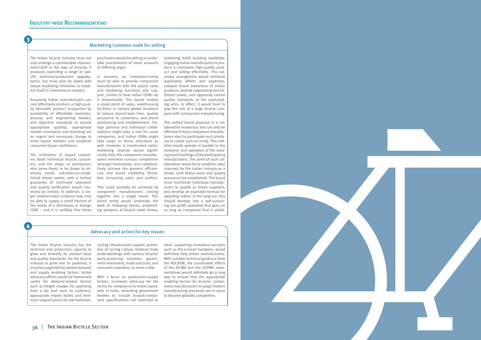

#### Marketing/common node for selling

The Indian bicycle industry must not only undergo a considerable improve ment/shift in the type of bicycles it produces (soliciting a range of spe cific technical/production upgrada tions), but must also be aided with robust marketing initiatives to estab lish itself in international markets.

Assuming Indian manufacturers can cost effectively produce a high-qual ity desirable product (supported by availability of affordable materials, process and engineering tweaks, and objective standards to ensure appropriate quality), appropriate market orientation and branding are an urgent and necessary change to enter export markets and establish consumer/buyer confidence.

The inclination of export custom ers (both individual bicycle custom ers, and the shops or distributors who serve them) to be drawn to rel atively small, unknown/un-estab lished brand names, with a limited guarantee of continued operation and quality verification would intu itively be limited. In addition, a sin gle modest-sized company may only be able to supply a small fraction of the needs of a distributor or foreign OEM – and it is unlikely that these

purchasers would be willing to under take procurement of small amounts of differing origin.

In essence, an institution/entity must be able to provide component manufacturers with the export sales and marketing functions and sup port, similar to how Indian OEMs do it domestically. This would involve a nodal point of sales, warehousing facilities in various global locations to reduce transit/lead time, quality assurance to customers, and brand positioning and establishment. For eign partners and individual collab orations might play a role for some companies, and Indian OEMs might take steps in those directions as well. However, a coordinated sales/ marketing channel would signifi cantly help the component manufac turers minimize ruinous competition amongst themselves, and collabora tively achieve the greatest efficien cies and brand credibility (there fore increasing sales and profits).

This could possibly be achieved by component manufacturers coming together into a single brand. This brand entity would undertake the work of: following trends; establish ing presence at bicycle trade shows;

marketing itself; building credibility;

engaging Indian manufacturers to pro duce a consistent high-quality prod uct and selling effectively. This vol untary arrangement would minimize duplicative efforts and expenses, catapult brand awareness of Indian products, provide negotiating and ful filment power, and rigorously control quality standards of the participat ing units. In effect, it would have to play the role of a large bicycle com pany with outsourced manufacturing.

The unified brand proposal is a col laborative endeavour and can only be effective if many component manufac turers elect to participate and contrib ute to create such an entity. This initi ative would operate in parallel to the existence and operation of the exist ing brand holdings of the participating manufacturers. The point of such col laboration would be to establish sales channels for the Indian industry as a whole, until brand value and quality assurance are established. The brand must incentivize individual manufac turers to qualify as brand suppliers, and develop an equitable formula for awarding orders. In the long run, this should develop into a self-sustain ing non-profit operation that goes on as long as companies find it useful.

**3**

#### Advocacy and action for key issues

The Indian bicycle industry has the technical and production capacity to grow and diversify its product base and quality standards. For the bicycle industry to grow into its potential, it must be supported by several demand and supply enabling factors. Active advocacy efforts would be immensely useful for demand-related factors such as freight charges for operating from a dry port such as Ludhiana, appropriate import duties and mini mum support prices for raw materials,

cycling infrastructure support, promo tion of cycling culture, bilateral trade understandings with various bicycle/ parts-producing countries, govern ment investment, trade practices, and consumer subsidies, to name a few.

With a focus on production/supply factors, increased advocacy for the norms for compliance to Indian stand ards in India, amending government tenders to include bicycle/compo nent specifications not restricted to

steel, supporting innovative concepts such as the e-assist hardware, would definitely help Indian manufacturers. With suitable technical guidance from the RDCBSM, the coordinated efforts of the AICMA and the UCPMA repre sentatives would definitely go a long way to ensure that the appropriate enabling factors for bicycle/ compo nents manufacturers to adopt modern manufacturing processes are in place to become globally competitive.

**4**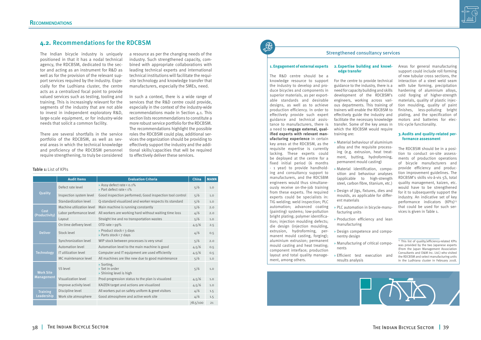### <span id="page-19-0"></span>**4.2.** Recommendations for the RDCBSM

The Indian bicycle industry is uniquely positioned in that it has a nodal technical agency, the RDCBSM, dedicated to the sector and acting as an instrument for R&D as well as for the provision of the relevant support services required by the industry. Especially for the Ludhiana cluster, the centre acts as a centralized focal point to provide valued services such as testing, tooling and training. This is increasingly relevant for the segments of the industry that are not able to invest in independent exploratory R&D, large-scale equipment, or for industry-wide needs that solicit a common facility.

There are several shortfalls in the service portfolio of the RDCBSM, as well as several areas in which the technical knowledge and proficiency of the RDCBSM personnel require strengthening, to truly be considered

a resource as per the changing needs of the industry. Such strengthened capacity, combined with appropriate collaborations with leading technical experts and international technical institutions will facilitate the requisite technology and knowledge transfer that manufacturers, especially the SMEs, need.

In such a context, there is a wide range of services that the R&D centre could provide, especially in the context of the industry-wide recommendations made in Section 4.1. This section lists recommendations to constitute a more robust service portfolio for the RDCBSM. The recommendations highlight the possible roles the RDCBSM could play, additional services the organization should be providing to effectively support the industry and the additional skills/capacities that will be required to effectively deliver these services.

#### Strengthened consultancy services

**Table 1:** List of KPIs

|                                       | <b>Audit Items</b>        | <b>Evaluation Criteria</b>                              | China    | <b>MANN</b> |
|---------------------------------------|---------------------------|---------------------------------------------------------|----------|-------------|
| Quality                               | Defect rate level         | » Assy defect rate < 0.1%<br>» Part defect rate < 1%    | 5/6      | 1.0         |
|                                       | Inspection system level   | Good inspection performed; Good inspection tool control | 5/6      | 1.0         |
|                                       | Standardization level     | Q-standard visualized and worker respects its standard  | 5/6      | 1.0         |
| Cost<br>(Productivity)                | Machine utilization level | Main machine is running constantly                      | 5/6      | 2.0         |
|                                       | Labor performance level   | All workers are working hard without waiting time loss  | 4/6      | 2.0         |
|                                       | Layout                    | Straight Ine and no transportation wastes               | 5/6      | 1.0         |
| <b>Deliver</b>                        | On time defivery level    | OTD rate $> 99\%$                                       | 4.5/6    | 2.5         |
|                                       | Stock level               | » Product stock < 3 days<br>» Parts stock < 7 days      | 4/6      | 0.5         |
|                                       | Synchronization level     | WIP stock between processes is very smal                | 5/6      | 2.0         |
| <b>Technology</b>                     | Automation level          | Automation level to the main machine is good            | 4.5/6    | 0.5         |
|                                       | IT utilization level      | Computer and IT equipment are used efficiently          | 4.5/6    | 0.5         |
|                                       | MC maintenance level      | All machines are like new due to good maintenance       | 5/6      | 1.0         |
| <b>Work Site</b><br><b>Management</b> | 5S level                  | » Sorting,<br>» Set in order<br>» Shining level is high | 5/6      | 1.0         |
|                                       | Visualization level       | Prod-progression status to the plan is visualzed        | 4.5/6    | 1.0         |
|                                       | Improve activity level    | KAIZEN target and actions are visualized                | 4.5/6    | 1.0         |
| <b>Training</b><br>Leadership         | Discipline level          | All workers put on safety uniform & greet visitors      | 4/6      | 1.5         |
|                                       | Work site atmosphere      | Good atmosphere and active work site                    | 4/6      | 1.5         |
|                                       |                           |                                                         | 78.5/100 | 21          |

<sup>13</sup> This list of quality/efficiency-related KPIs was provided by the two Japanese experts (From the Japan Management Association Consultants and O&M Inc. Ltd.) who visited the RDCBSM and select manufacturing units in the Ludhiana cluster in February 2018.



#### **1.Engagement of external experts 2.Expertise building and knowl-**

The R&D centre should be a knowledge resource to support the industry to develop and produce bicycles and components in superior materials, as per exportable standards and desirable designs, as well as to achieve production efficiency. In order to effectively provide such expert guidance and technical assistance to manufacturers, there is a need to **engage external, qualified experts with relevant manufacturing experience** in certain key areas at the RDCBSM, as the requisite expertise is currently lacking. These experts could be deployed at the centre for a fixed initial period (6 months - 1 year) to provide handholding and consultancy support to manufacturers, and the RDCSBM engineers would thus simultaneously receive on-the-job training from these experts. The required experts could be specialists in: TIG welding; weld inspection; PLC automation; advanced coating (painting) systems; low-pollution bright plating; polymer identification; injection moulding defects; die design (injection moulding, extrusion, hydroforming, permanent mould casting, forging); aluminium extrusion; permanent mould casting and heat treating; component interface; production layout and total quality management, among others.



For the centre to provide technical guidance to the industry, there is a need for capacity building and skills development of the RDCBSM's engineers, working across various departments. This training of trainers will enable the RDCBSM to effectively guide the industry and facilitate the necessary knowledge transfer. Some of the key areas in which the RDCBSM would require training are:

alloy and the requisite processing (e.g. extrusion, heat treatment, butting, hydroforming,

sition and behaviour analyses (applicable to high-strength steel, carbon fibre, titanium, etc.)

- » Material behaviour of aluminium permanent mould casting)
- » Material identification, compo-
- ent materials
- » PLC automation in bicycle-manufacturing units
- manufacturing
	- nentry design
	- » Manufacturing of critical components
	- » Efficient test execution and results analysis



» Design of jigs, fixtures, dies and moulds, as applicable for differ-

» Production efficiency and lean

» Design competence and compo-

Areas for general manufacturing support could include roll forming of new tubular cross sections, the interaction of a steel weld seam with tube forming, precipitation hardening of aluminium alloys, cold forging of higher-strength materials, quality of plastic injection moulding, quality of paint finishes, less-polluting bright plating, and the specification of motors and batteries for electric-cycle functionality.

#### **3.Audits and quality-related performance assessment**

The RDCBSM should be in a position to conduct on-site assessments of production operations of bicycle manufacturers and provide efficiency and production improvement guidelines. The RDCBSM's skills vis-à-vis 5S, total quality management, kaizen, etc. would have to be strengthened for it to subsequently support the industry. An indicative set of key performance indicators (KPIs)<sup>13</sup> that could be used for such services is given in Table 1.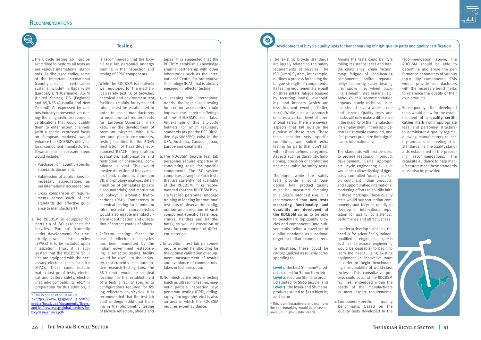#### **Testing**

1.The Bicycle testing lab must be accredited to perform all tests as per various international standards. As discussed earlier, some of the important international (country-specific) certification systems include<sup>14</sup> JIS (Japan); EN (Europe); DIN (Germany); ASTM (United States); BS (England) and AS/NZS (Australia and New Zealand). As expressed by various industry representatives during the diagnostic assessment, certifications that would qualify them to enter export channels (with a special expressed focus on European markets) would enhance the RDCBSM's utility for local component manufacturers. Towards this, necessary steps would include:

- » Purchase of country-specific standards documents
- » Submission of applications for necessary accreditations as per international accreditations
- » Cross comparison of requirements across each of the standards (for effective guidance to manufacturers)
- 2. The RDCBSM is equipped for parts 1-9 of ISO 4210 tests for bicycles. 'Part 10' (currently under development) for electrically power assisted cycles (EPACs) is to be included upon finalization. Thus, it is suggested that the RDCBSM facilities are equipped with the necessary electrical tests for such EPACs. These could include water/dust proof tests, electrical and battery safety, electromagnetic compatibility, etc.15 In preparation for this addition, it

is recommended that the bicycle test lab personnel undergo training in the inspection and testing of EPAC components.

3. While the RDCBSM is relatively well equipped for the mechanical/safety testing of bicycles, chemical and environment test facilities (mainly for tyres and tubes) must be established in order to assist manufacturers to meet product requirements for European/American markets. For the development of premium bicycles with rubber and plastic components, testing facilities for the ROHS (restriction of hazardous substances)/REACH (registration, evaluation, authorisation and restriction of chemicals) compliance is vital. This would involve detection of heavy metals (lead, cadmium, chromium

VI), morphology analysis, determination of phthalates (plasticized materials) and restriction of polycyclic aromatic hydrocarbons (PAH). Competency in chemical testing for aluminium tube material characteristics would also enable manufacturers in identification and utilization of correct grades of alloys.

4.Reflector testing: Since the use of reflectors on bicycles has been mandated by the Indian government, establishing a reflector testing facility would be useful to the industry, that currently uses automotive research/testing labs. The R&D centre would be an ideal location for the establishment of a testing facility specific to configurations required for fixing reflectors on bicycles. It is recommended that the test lab staff undergo additional training in the photometric testing of bicycle reflectors, sheets and

Level 1, the best Shimano<sup>16</sup> products (suited for \$2000 bicycle); **Level 2**, medium Shimano products suited for \$800 bicycle; and **Level 3**, the lower-end Shimano products suited to \$250 bicycle; and so on.

 $16$  This is an illustrative brand example: the benchmarking would be of several premium, high-quality brands.

tapes. It is suggested that the RDCBSM establish a knowledge sharing partnership with other laboratories such as the International Centre for Automotive Technology (ICAT) that is already engaged in reflector testing.

- 5.In keeping with international trends, the specialized testing for certain accessories could improve the service offerings of the RDCBSM's test labs. An example of this is bicycle helmets, for which regulatory standards (as per the PPE Directive 89/686/EEC) exist in the USA, Australia, Canada, Japan, Europe and Great Britain.
- 6. The RDCBSM bicycle test lab personnel require expertise in conducting tests for specific components. The ISO system comprises a range of such tests that are currently not available at the RDCBSM. It is recommended that the RDCBSM bicycle test lab personnel undergo training at leading international test labs to observe the configuration and execution of such component-specific tests (e.g. cranks, handles and handlebars), as well as execution of tests for components of different materials.
- 7.In addition, test lab personnel require expert handholding for the optimal calibration of equipment, measurement of results and avoidance of common mistakes in test execution.
- 8.Non-destructive bicycle testing (such as ultrasonic testing, magnetic particle inspection, dye penetrant testing (DPT), radiography, fractography, etc.) is also an area in which the RDCBSM requires expert guidance.

# Ö

#### Development of bicycle quality tests for benchmarking of high-quality parts and quality certification

1. The existing bicycle standards are largely related to the safety requirements of bicycles. The ISO (4210) System, for example, outlines a process for testing the fatigue strength of components. Its testing requirements are built on three pillars: fatigue (caused by recurring loads); overloading, and impacts (which are less frequent events) (Zedler, 2017). While such an approach ensures a certain level of operational safety, there are several aspects that fall outside the purview of these tests. These tests consider very specific conditions, and solicit extra testing for parts that don't fall within these defined categories. Aspects such as durability, functioning, precision or comfort are not measurable by safety tests.

Therefore, while the safety tests provide a solid foundation, final product quality must be measured factoring in a bike's intended use. It is recommended that **new tests measuring functionality and durability are developed at the RDCBSM** so as to be able to benchmark top-quality bicycles and components, and subsequently define a novel set of quality standards as a notional target for Indian manufacturers.

To illustrate, these could be conceptualized as roughly corresponding to:

Among the tests could be: tyre rolling resistance; seat and handle compliance; chain friction; ramp fatigue of load-bearing components; shifter repeatability; balancing ease; bearing life; spoke life; wheel buckling strength; wet braking, etc. Although this recommendation appears purely technical, it in fact should have a wider scope and impact. Quality tests and marks will only make a difference if the majority of the manufacturers employ them, if their application is rigorously controlled, and if all players publicize their significance internationally.

The standards will first be used to provide feedback in product development, using appropriate cycle engineering skills. It would also allow display of rigorously controlled 'quality marks' on compliant Indian products, and support unified international marketing efforts to solidify faith in these markings. These quality tests would support Indian components and bicycles rapidly to develop an international reputation for quality (consistency), performance and attractiveness.

In order to develop such tests, the need is for scientifically trained, qualified engineers (areas such as aerospace engineering would be desirable) to begin to learn the needs, using existing equipment in innovative ways in order to begin benchmarking the durability of world-class cycles. This consultative process could occur at the RDCBSM facilities, embedded within the needs of the manufacturers to meet export requirements.



2.Component-specific quality benchmarks: Based on the quality tests developed in the

recommendation above, the RDCBSM should be able to determine and share the performance parameters of various top-quality components. This would provide manufacturers with the necessary benchmarks to reference the quality of their own products.

3.Subsequently, the developed tests would allow for the establishment of a **quality certification mark** (with appropriate legal and personnel structure) to administer a quality regime, allowing manufacturers to certify products as meeting strict standards, i.e. the quality standards established in the preceding recommendations. The requisite guidance to help manufacturers meet these standards must also be provided.



<sup>&</sup>lt;sup>14</sup> This is not an exhaustive list. <sup>15</sup> <https://www.sgsgroup.us.com/-/ media/local/usa/documents/flyersand-leaflets/cts/sgsglobal-services-forbicyclesa4en10v1.pdf>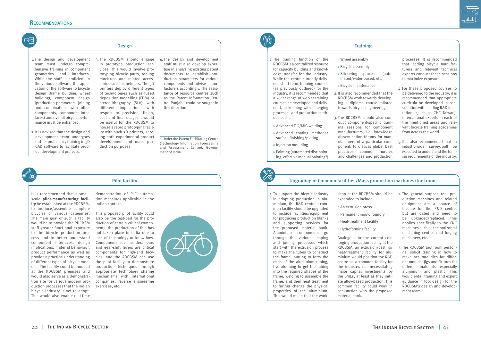#### **Recommendations**

# $\frac{1}{1-\frac{1}{2}}$

#### Design

#### Pilot facility

- 1. The design and development team must undergo comprehensive training in component geometries and interfaces. While the staff is proficient in the various software, the application of the software to bicycle design (frame building, wheel building), component design (production parameters, joining and combinations with other components, component interfaces) and overall bicycle performance must be enhanced.
- 2.It is advised that the design and development team undergoes further proficiency training in 3D CAD software to facilitate product development projects.

<sup>17</sup> Under the Patent Facilitating Centre (Technology Information Forecasting and Assessment Centre), Government of India



3. The RDCBSM should engage in prototype production services. This would involve prototyping bicycle parts, tooling mock-ups and related accessories such as helmets. The 3D printers deploy different types of technologies such as fused deposition modelling (FDM) or stereolithography (SLA), with different implications with respect to precision, finish, cost and final usage. It would be useful for the RDCBSM to house a rapid prototyping facility with such 3D printers, serving both experimental product

development and mass pro-

duction purposes.

4. The design and development staff must also develop expertise in analysing existing patent documents to establish production parameters for various components and advise manufacturers accordingly. The assistance of resource centres such as the Patent Information Centre, Punjab<sup>17</sup> could be sought in this direction.

It is recommended that a smallscale **pilot-manufacturing facility** be established at the RDCBSM, to produce/assemble complete bicycles of various categories. The main goal of such a facility would be to provide the RDCBSM staff greater functional exposure to the bicycle production process and to better understand component interfaces, design implications, material behaviour, product performance as well as provide a practical understanding of different types of bicycle models. The facility could be housed at the RDCBSM premises and would also serve as a demonstration site for various modern production processes that the Indian bicycle industry is yet to adopt. This would also enable real-time

demonstration of PLC automation measures applicable in the Indian context.

This proposed pilot facility could also be the test-bed for the production of certain critical components, the production of this has not taken place in India due to lack of technology or know-how. Components such as derailleurs and gear-shift levers are critical components for high-end bicycles, and the RDCBSM can use the pilot facility to demonstrate production techniques through appropriate technology sharing mechanisms with international companies, reverse engineering exercises, etc.



# ▓<br>∭∏

#### Upgrading of Common facilities/Mass production machines/tool room

1. The training function of the RDCBSM is a centralized resource for capacity building and knowledge transfer for the industry. While the centre currently delivers short-term training courses (as previously outlined) for the industry, it is recommended that a wider range of worker training courses be developed and delivered, in keeping with emerging processes and production methods such as:

- » Advanced TIG/MIG welding:
- » Advanced coating methods/ surface finishing/plating
- » Injection moulding
- » Painting (automated disc painting, effective manual painting?)

### » Wheel assembly

- » Bicycle assembly
- » Stickering process (automated/water-based, etc.)
- » Bicycle maintenance

towards bicycle engineering.

- 
- 2.It is also recommended that the RDCBSM work towards developing a diploma course tailored
- 3. The RDCBSM should also conduct component-specific training sessions for component manufacturers, i.e. knowledge dissemination forums for manufacturers of a particular component, to discuss global best practices, common hurdles and challenges and production

processes. It is recommended that leading bicycle manufacturers and relevant technical experts conduct these sessions to maximize exposure.

- 4. For these proposed courses to be delivered to the industry, it is recommended that appropriate curricula be developed in consultation with leading R&D institutions (such as CHC Taiwan), international experts in each of the mentioned areas and relevant bicycle training academies from across the world.
- 5.It is also recommended that an industry-wide survey/poll be executed to understand the training requirements of the industry.

1. To support the bicycle industry in adopting production in aluminium, the R&D centre's common facility should be upgraded to include facilities/equipment for producing production blanks and supporting services for the proposed material bank. Aluminium components go through the various shaping and joining processes which start with the extrusion process to make the tubes to construct the frame, butting to form the ends of the aluminium tubing, hydroforming to get the tubing into the required shapes of the frame, welding to assemble the frame, and then heat treatment to further change the physical properties of the aluminium. This would mean that the workexpanded to include:

- » An extrusion press
- » Permanent mould foundry
- 
- » Hydroforming facility

Analogous to the current cold forging production facility at the RDCBSM, an extrusion/casting/ heat-treatment facility for aluminium would position the R&D centre as a common facility for the industry, not necessitating major capital investments by the SMEs, at least as they initiate alloy-based production. This common facility could work in conjunction with the proposed material bank.



#### **Training**

- 
- » Heat-treatment facility
- shop at the RDCBSM should be 2. The general-purpose tool production machines and related equipment are a source of income for the R&D centre, but are dated and need to be upgraded/replaced. This applies specifically to the CNC machines such as the horizontal machining centre, cold forging machinery, etc.
	- 3. The RDCBSM tool room personnel solicit training in how to make accurate dies for different moulds, jigs and fixtures for different materials, especially aluminium and plastic. This would entail training and expert guidance in tool design for the RDCBSM's design and development team.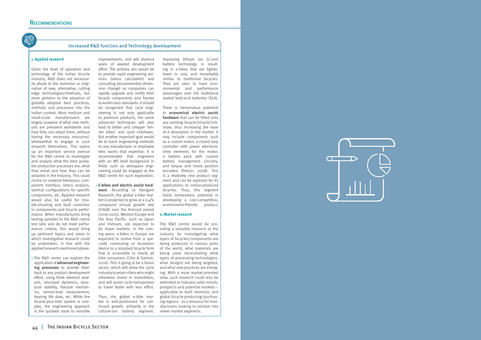

#### Increased R&D function and Technology development

#### **1.Applied research**

Given the level of operation and technology of the Indian bicycle industry, R&D does not necessar ily allude to the invention or origi nation of new, alternative, cutting edge technologies/methods, but more pertains to the adoption of globally adopted best practices, methods and processes into the Indian context. Most medium and small-scale manufacturers are largely unaware of what new meth ods are prevalent worldwide and how they can adopt them, without having the necessary resources/ wherewithal to engage in such research themselves. This opens up an important service avenue for the R&D centre to investigate and analyse what the best availa ble production processes are, what they entail and how they can be adopted in the industry. This could centre on material behaviour, com ponent interface, stress analysis, optimal configurations for specific components, etc. Applied research would also be useful for trou ble-shooting and fault correction in components and bicycle perfor mance. When manufacturers bring testing samples to the R&D centre test labs and do not meet perfor mance criteria, this would bring up pertinent topics and areas in which investigative research could be undertaken, in line with the applied research mentioned above.

» The R&D centre can explore the application of **advanced engineer ing processes** to provide feed back to any product development effort, using finite element anal ysis, structural dynamics, struc tural stability, fracture mechan ics, service-load measurement, bearing life data, etc. While the bicycle-plus-rider system is com plex, the engineering approach is the quickest route to sensible

improvements, and will shortcut

years of wasted development effort. The primary aim would be to provide rapid engineering services (stress calculation) and consulting (recommended dimen sion change) so companies can rapidly upgrade and certify their bicycle components and frames to world-class standards. It should be recognized that cycle engi neering is not only applicable to premium products, the same advanced techniques will also lead to better and cheaper 'ten der bikes' and cycle rickshaws. But another important goal would be to teach engineering methods to any manufacturer or employee who wants that expertise. It is recommended that engineers with an MS level background in fields such as aerospace engi neering could be engaged at the R&D centre for such exploration.

» **E-bikes and electric assist hard ware**: According to Navigant Research, the global e-bike mar ket is projected to grow at a 0.4% compound annual growth rate (CAGR) over the forecast period (2016-2025). Western Europe and the Asia Pacific, such as Japan and Vietnam, are expected to be major markets. In the com ing years, e-bikes in Europe are expected to evolve from a spe cialty commuting or recreation device to a standard bicycle form that is accessible to nearly all bike consumers (Citro & Gartner, 2016). This is going to be a boom sector, which will allow the cycle industry to retain riders who might otherwise invest in motorbikes, and will assist cycle-transporters to travel faster with less effort.

Thus, the global e-bike mar ket is well-positioned for con tinued growth, primarily in the Lithium-ion battery segment.

Improving lithium ion (Li-ion) battery technology is result ing in e-bikes that are lighter, lower in cost, and remarkably similar to traditional bicycles. They are seen to have envi ronmental and performance advantages over the traditional sealed lead-acid batteries (SLA).

There is tremendous potential in **economical electric assist hardware** that can be fitted onto any existing bicycle/tricycle/rick shaw, thus increasing the ease of it absorption in the market. It may include components such as a custom motor; a closed loop controller with power electronic drive elements for the motor; a battery pack with custom battery management circuitry, and torque and rotary position encoders (Petron, 2008). This is a relatively new product seg ment and can be explored for its applications to Indian-produced bicycles. Thus, this segment holds tremendous potential in developing a cost-competitive, environment-friendly product.

#### **2.Market research**

The R&D centre would be pro viding a valuable resource to the industry by investigating what types of bicycles/components are being produced in various parts of the world, what materials are being used necessitating what types of processing technologies, what designs are being targeted, and what new practices are emerg ing. With a more market-oriented view, such research could also be extended to industry sales trends, prospects and potential markets – applicable to both domestic and global bicycle-producing/purchas ing regions - as a resource for man ufacturers looking to venture into newer market segments.

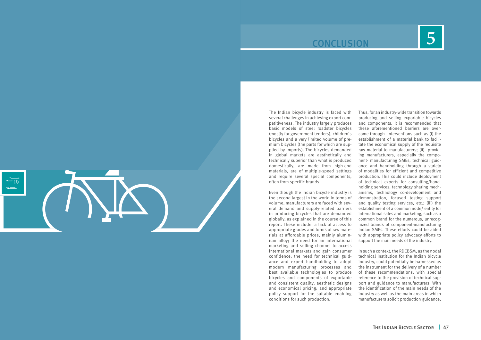# **CONCLUSION**

<span id="page-23-0"></span>

The Indian bicycle industry is faced with several challenges in achieving export competitiveness. The industry largely produces basic models of steel roadster bicycles (mostly for government tenders), children's bicycles and a very limited volume of premium bicycles (the parts for which are supplied by imports). The bicycles demanded in global markets are aesthetically and technically superior than what is produced domestically, are made from high-end materials, are of multiple-speed settings and require several special components, often from specific brands.

Even though the Indian bicycle industry is the second largest in the world in terms of volume, manufacturers are faced with several demand and supply-related barriers in producing bicycles that are demanded globally, as explained in the course of this report. These include: a lack of access to appropriate grades and forms of raw materials at affordable prices, mainly aluminium alloy; the need for an international marketing and selling channel to access international markets and gain consumer confidence; the need for technical guidance and expert handholding to adopt modern manufacturing processes and best available technologies to produce bicycles and components of exportable and consistent quality, aesthetic designs and economical pricing; and appropriate policy support for the suitable enabling conditions for such production.

Thus, for an industry-wide transition towards producing and selling exportable bicycles and components, it is recommended that these aforementioned barriers are overcome through interventions such as (i) the establishment of a material bank to facilitate the economical supply of the requisite raw material to manufacturers; (ii) providing manufacturers, especially the component- manufacturing SMEs, technical guidance and handholding through a variety of modalities for efficient and competitive production. This could include deployment of technical experts for consulting/handholding services, technology sharing mechanisms, technology co-development and demonstration, focused testing support and quality testing services, etc.; (iii) the establishment of a common node/ entity for international sales and marketing, such as a common brand for the numerous, unrecognized brands of component-manufacturing Indian SMEs. These efforts could be aided with appropriate policy advocacy efforts to support the main needs of the industry. In such a context, the RDCBSM, as the nodal technical institution for the Indian bicycle

industry, could potentially be harnessed as the instrument for the delivery of a number of these recommendations, with special reference to the provision of technical support and guidance to manufacturers. With the identification of the main needs of the industry as well as the main areas in which manufacturers solicit production guidance,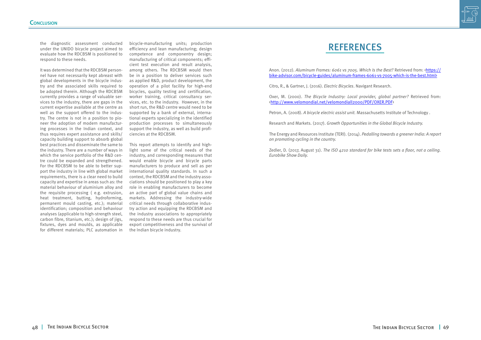<span id="page-24-0"></span>the diagnostic assessment conducted under the UNIDO bicycle project aimed to evaluate how the RDCBSM is positioned to respond to these needs.

It was determined that the RDCBSM personnel have not necessarily kept abreast with global developments in the bicycle industry and the associated skills required to be adopted therein. Although the RDCBSM currently provides a range of valuable services to the industry, there are gaps in the current expertise available at the centre as well as the support offered to the industry. The centre is not in a position to pioneer the adoption of modern manufacturing processes in the Indian context, and thus requires expert assistance and skills/ capacity building support to absorb global best practices and disseminate the same to the industry. There are a number of ways in which the service portfolio of the R&D centre could be expanded and strengthened. For the RDCBSM to be able to better support the industry in line with global market requirements, there is a clear need to build capacity and expertise in areas such as: the material behaviour of aluminium alloy and the requisite processing ( e.g. extrusion, heat treatment, butting, hydroforming, permanent mould casting, etc.); material identification; composition and behaviour analyses (applicable to high-strength steel, carbon fibre, titanium, etc.); design of jigs, fixtures, dyes and moulds, as applicable for different materials; PLC automation in

bicycle-manufacturing units; production efficiency and lean manufacturing; design competence and componentry design; manufacturing of critical components; efficient test execution and result analysis, among others. The RDCBSM would then be in a position to deliver services such as applied R&D, product development, the operation of a pilot facility for high-end bicycles, quality testing and certification, worker training, critical consultancy services, etc. to the industry. However, in the short run, the R&D centre would need to be supported by a bank of external, international experts specializing in the identified production processes to simultaneously support the industry, as well as build proficiencies at the RDCBSM.

This report attempts to identify and highlight some of the critical needs of the industry, and corresponding measures that would enable bicycle and bicycle parts manufacturers to produce and sell as per international quality standards. In such a context, the RDCBSM and the industry associations should be positioned to play a key role in enabling manufacturers to become an active part of global value chains and markets. Addressing the industry-wide critical needs through collaborative industry action and equipping the RDCBSM and the industry associations to appropriately respond to these needs are thus crucial for export competitiveness and the survival of the Indian bicycle industry.

# REFERENCES

Anon. (2012). *Aluminum Frames: 6061 vs 7005. Which Is the Best?* Retrieved from: <https:// bike-advisor.com/bicycle-guides/aluminum-frames-6061-vs-7005-which-is-the-best.html>

Citro, R., & Gartner, J. (2016). *Electric Bicycles*. Navigant Research.

Oxer, M. (2000). *The Bicycle Industry: Local provider, global partner?* Retrieved from: <http://www.velomondial.net/velomondiall2000/PDF/OXER.PDF>

Petron, A. (2008). *A bicycle electric assist unit.* Massachusetts Institute of Technology .

Research and Markets. (2017). *Growth Opportunities in the Global Bicycle Industry.* 

The Energy and Resources Institute (TERI). (2014). *Pedalling towards a greener India: A report on promoting cycling in the country.*

Zedler, D. (2017, August 31). *The ISO 4210 standard for bike tests sets a floor, not a ceiling. Eurobike Show Daily.*

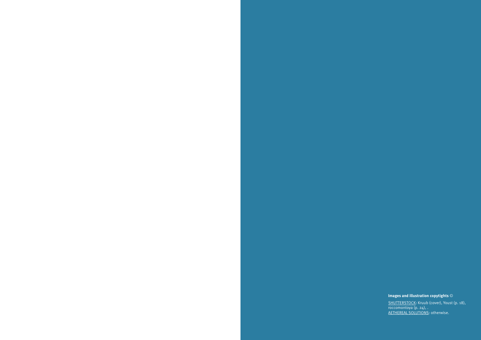#### **Images and illustration copytights** ©

SHUTTERSTOCK: Kruub (cover), Youst (p. 18), roccomontoya (p. 24), . AETHEREAL SOLUTIONS: otherwise.